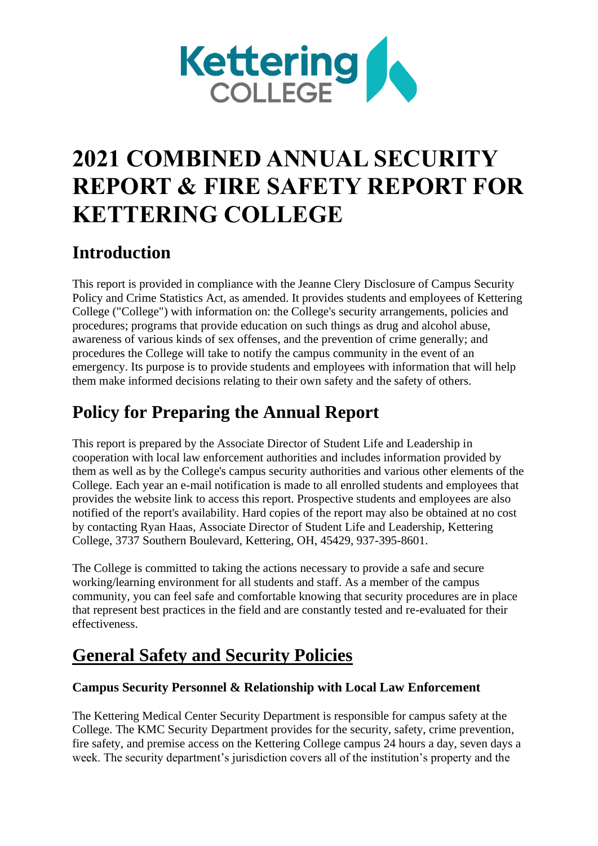

# **2021 COMBINED ANNUAL SECURITY REPORT & FIRE SAFETY REPORT FOR KETTERING COLLEGE**

## **Introduction**

This report is provided in compliance with the Jeanne Clery Disclosure of Campus Security Policy and Crime Statistics Act, as amended. It provides students and employees of Kettering College ("College") with information on: the College's security arrangements, policies and procedures; programs that provide education on such things as drug and alcohol abuse, awareness of various kinds of sex offenses, and the prevention of crime generally; and procedures the College will take to notify the campus community in the event of an emergency. Its purpose is to provide students and employees with information that will help them make informed decisions relating to their own safety and the safety of others.

## **Policy for Preparing the Annual Report**

This report is prepared by the Associate Director of Student Life and Leadership in cooperation with local law enforcement authorities and includes information provided by them as well as by the College's campus security authorities and various other elements of the College. Each year an e-mail notification is made to all enrolled students and employees that provides the website link to access this report. Prospective students and employees are also notified of the report's availability. Hard copies of the report may also be obtained at no cost by contacting Ryan Haas, Associate Director of Student Life and Leadership, Kettering College, 3737 Southern Boulevard, Kettering, OH, 45429, 937-395-8601.

The College is committed to taking the actions necessary to provide a safe and secure working/learning environment for all students and staff. As a member of the campus community, you can feel safe and comfortable knowing that security procedures are in place that represent best practices in the field and are constantly tested and re-evaluated for their effectiveness.

## **General Safety and Security Policies**

## **Campus Security Personnel & Relationship with Local Law Enforcement**

The Kettering Medical Center Security Department is responsible for campus safety at the College. The KMC Security Department provides for the security, safety, crime prevention, fire safety, and premise access on the Kettering College campus 24 hours a day, seven days a week. The security department's jurisdiction covers all of the institution's property and the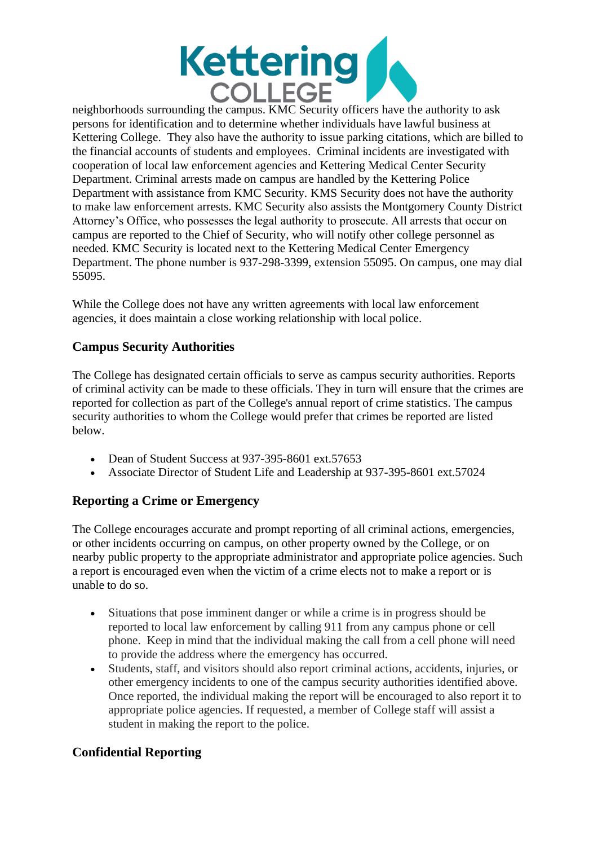

neighborhoods surrounding the campus. KMC Security officers have the authority to ask persons for identification and to determine whether individuals have lawful business at Kettering College. They also have the authority to issue parking citations, which are billed to the financial accounts of students and employees. Criminal incidents are investigated with cooperation of local law enforcement agencies and Kettering Medical Center Security Department. Criminal arrests made on campus are handled by the Kettering Police Department with assistance from KMC Security. KMS Security does not have the authority to make law enforcement arrests. KMC Security also assists the Montgomery County District Attorney's Office, who possesses the legal authority to prosecute. All arrests that occur on campus are reported to the Chief of Security, who will notify other college personnel as needed. KMC Security is located next to the Kettering Medical Center Emergency Department. The phone number is 937-298-3399, extension 55095. On campus, one may dial 55095.

While the College does not have any written agreements with local law enforcement agencies, it does maintain a close working relationship with local police.

## **Campus Security Authorities**

The College has designated certain officials to serve as campus security authorities. Reports of criminal activity can be made to these officials. They in turn will ensure that the crimes are reported for collection as part of the College's annual report of crime statistics. The campus security authorities to whom the College would prefer that crimes be reported are listed below.

- Dean of Student Success at 937-395-8601 ext.57653
- Associate Director of Student Life and Leadership at 937-395-8601 ext.57024

## **Reporting a Crime or Emergency**

The College encourages accurate and prompt reporting of all criminal actions, emergencies, or other incidents occurring on campus, on other property owned by the College, or on nearby public property to the appropriate administrator and appropriate police agencies. Such a report is encouraged even when the victim of a crime elects not to make a report or is unable to do so.

- Situations that pose imminent danger or while a crime is in progress should be reported to local law enforcement by calling 911 from any campus phone or cell phone. Keep in mind that the individual making the call from a cell phone will need to provide the address where the emergency has occurred.
- Students, staff, and visitors should also report criminal actions, accidents, injuries, or other emergency incidents to one of the campus security authorities identified above. Once reported, the individual making the report will be encouraged to also report it to appropriate police agencies. If requested, a member of College staff will assist a student in making the report to the police.

## **Confidential Reporting**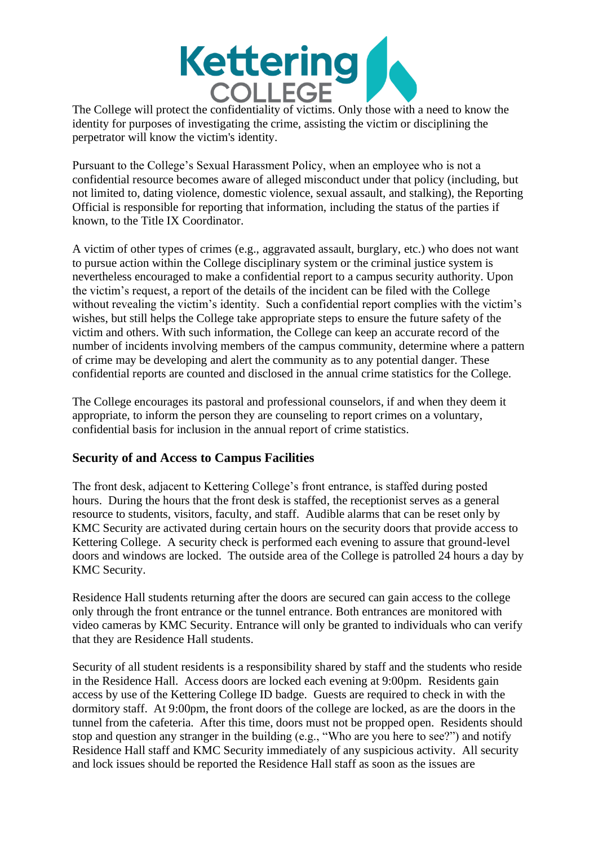

The College will protect the confidentiality of victims. Only those with a need to know the identity for purposes of investigating the crime, assisting the victim or disciplining the perpetrator will know the victim's identity.

Pursuant to the College's Sexual Harassment Policy, when an employee who is not a confidential resource becomes aware of alleged misconduct under that policy (including, but not limited to, dating violence, domestic violence, sexual assault, and stalking), the Reporting Official is responsible for reporting that information, including the status of the parties if known, to the Title IX Coordinator.

A victim of other types of crimes (e.g., aggravated assault, burglary, etc.) who does not want to pursue action within the College disciplinary system or the criminal justice system is nevertheless encouraged to make a confidential report to a campus security authority. Upon the victim's request, a report of the details of the incident can be filed with the College without revealing the victim's identity. Such a confidential report complies with the victim's wishes, but still helps the College take appropriate steps to ensure the future safety of the victim and others. With such information, the College can keep an accurate record of the number of incidents involving members of the campus community, determine where a pattern of crime may be developing and alert the community as to any potential danger. These confidential reports are counted and disclosed in the annual crime statistics for the College.

The College encourages its pastoral and professional counselors, if and when they deem it appropriate, to inform the person they are counseling to report crimes on a voluntary, confidential basis for inclusion in the annual report of crime statistics.

## **Security of and Access to Campus Facilities**

The front desk, adjacent to Kettering College's front entrance, is staffed during posted hours. During the hours that the front desk is staffed, the receptionist serves as a general resource to students, visitors, faculty, and staff. Audible alarms that can be reset only by KMC Security are activated during certain hours on the security doors that provide access to Kettering College. A security check is performed each evening to assure that ground-level doors and windows are locked. The outside area of the College is patrolled 24 hours a day by KMC Security.

Residence Hall students returning after the doors are secured can gain access to the college only through the front entrance or the tunnel entrance. Both entrances are monitored with video cameras by KMC Security. Entrance will only be granted to individuals who can verify that they are Residence Hall students.

Security of all student residents is a responsibility shared by staff and the students who reside in the Residence Hall. Access doors are locked each evening at 9:00pm. Residents gain access by use of the Kettering College ID badge. Guests are required to check in with the dormitory staff. At 9:00pm, the front doors of the college are locked, as are the doors in the tunnel from the cafeteria. After this time, doors must not be propped open. Residents should stop and question any stranger in the building (e.g., "Who are you here to see?") and notify Residence Hall staff and KMC Security immediately of any suspicious activity. All security and lock issues should be reported the Residence Hall staff as soon as the issues are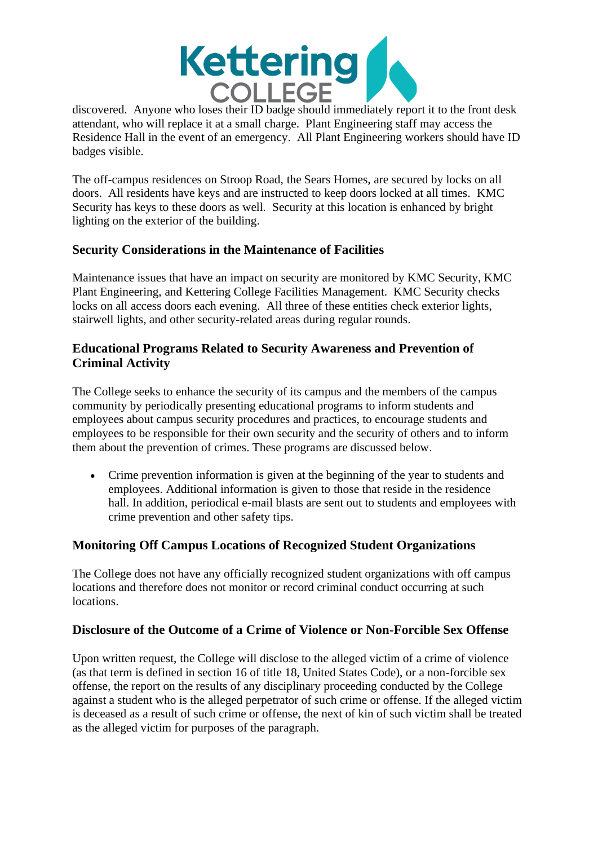

discovered. Anyone who loses their ID badge should immediately report it to the front desk attendant, who will replace it at a small charge. Plant Engineering staff may access the Residence Hall in the event of an emergency. All Plant Engineering workers should have ID badges visible.

The off-campus residences on Stroop Road, the Sears Homes, are secured by locks on all doors. All residents have keys and are instructed to keep doors locked at all times. KMC Security has keys to these doors as well. Security at this location is enhanced by bright lighting on the exterior of the building.

## **Security Considerations in the Maintenance of Facilities**

Maintenance issues that have an impact on security are monitored by KMC Security, KMC Plant Engineering, and Kettering College Facilities Management. KMC Security checks locks on all access doors each evening. All three of these entities check exterior lights, stairwell lights, and other security-related areas during regular rounds.

## **Educational Programs Related to Security Awareness and Prevention of Criminal Activity**

The College seeks to enhance the security of its campus and the members of the campus community by periodically presenting educational programs to inform students and employees about campus security procedures and practices, to encourage students and employees to be responsible for their own security and the security of others and to inform them about the prevention of crimes. These programs are discussed below.

• Crime prevention information is given at the beginning of the year to students and employees. Additional information is given to those that reside in the residence hall. In addition, periodical e-mail blasts are sent out to students and employees with crime prevention and other safety tips.

## **Monitoring Off Campus Locations of Recognized Student Organizations**

The College does not have any officially recognized student organizations with off campus locations and therefore does not monitor or record criminal conduct occurring at such locations.

## **Disclosure of the Outcome of a Crime of Violence or Non-Forcible Sex Offense**

Upon written request, the College will disclose to the alleged victim of a crime of violence (as that term is defined in section 16 of title 18, United States Code), or a non-forcible sex offense, the report on the results of any disciplinary proceeding conducted by the College against a student who is the alleged perpetrator of such crime or offense. If the alleged victim is deceased as a result of such crime or offense, the next of kin of such victim shall be treated as the alleged victim for purposes of the paragraph.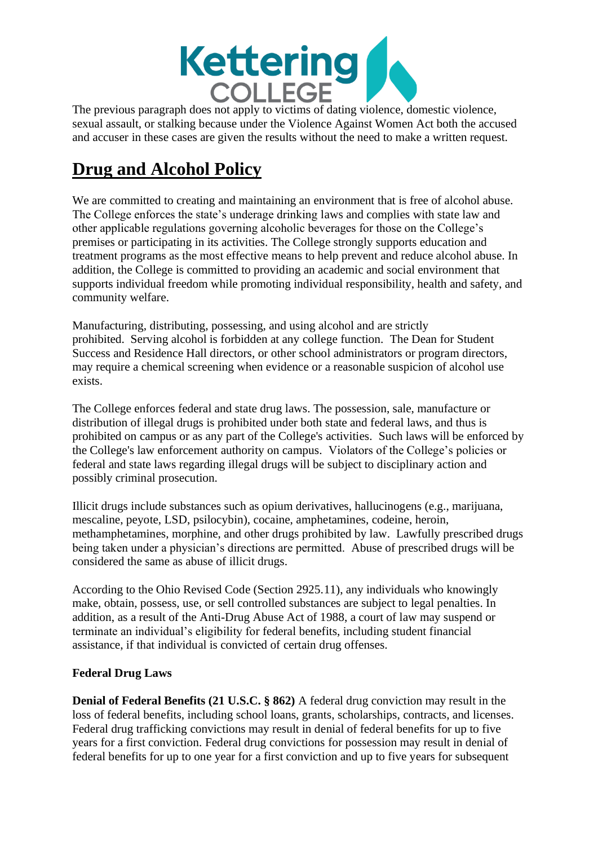

The previous paragraph does not apply to victims of dating violence, domestic violence, sexual assault, or stalking because under the Violence Against Women Act both the accused and accuser in these cases are given the results without the need to make a written request.

## **Drug and Alcohol Policy**

We are committed to creating and maintaining an environment that is free of alcohol abuse. The College enforces the state's underage drinking laws and complies with state law and other applicable regulations governing alcoholic beverages for those on the College's premises or participating in its activities. The College strongly supports education and treatment programs as the most effective means to help prevent and reduce alcohol abuse. In addition, the College is committed to providing an academic and social environment that supports individual freedom while promoting individual responsibility, health and safety, and community welfare.

Manufacturing, distributing, possessing, and using alcohol and are strictly prohibited. Serving alcohol is forbidden at any college function. The Dean for Student Success and Residence Hall directors, or other school administrators or program directors, may require a chemical screening when evidence or a reasonable suspicion of alcohol use exists.

The College enforces federal and state drug laws. The possession, sale, manufacture or distribution of illegal drugs is prohibited under both state and federal laws, and thus is prohibited on campus or as any part of the College's activities. Such laws will be enforced by the College's law enforcement authority on campus. Violators of the College's policies or federal and state laws regarding illegal drugs will be subject to disciplinary action and possibly criminal prosecution.

Illicit drugs include substances such as opium derivatives, hallucinogens (e.g., marijuana, mescaline, peyote, LSD, psilocybin), cocaine, amphetamines, codeine, heroin, methamphetamines, morphine, and other drugs prohibited by law. Lawfully prescribed drugs being taken under a physician's directions are permitted. Abuse of prescribed drugs will be considered the same as abuse of illicit drugs.

According to the Ohio Revised Code (Section 2925.11), any individuals who knowingly make, obtain, possess, use, or sell controlled substances are subject to legal penalties. In addition, as a result of the Anti-Drug Abuse Act of 1988, a court of law may suspend or terminate an individual's eligibility for federal benefits, including student financial assistance, if that individual is convicted of certain drug offenses.

## **Federal Drug Laws**

**Denial of Federal Benefits (21 U.S.C. § 862)** A federal drug conviction may result in the loss of federal benefits, including school loans, grants, scholarships, contracts, and licenses. Federal drug trafficking convictions may result in denial of federal benefits for up to five years for a first conviction. Federal drug convictions for possession may result in denial of federal benefits for up to one year for a first conviction and up to five years for subsequent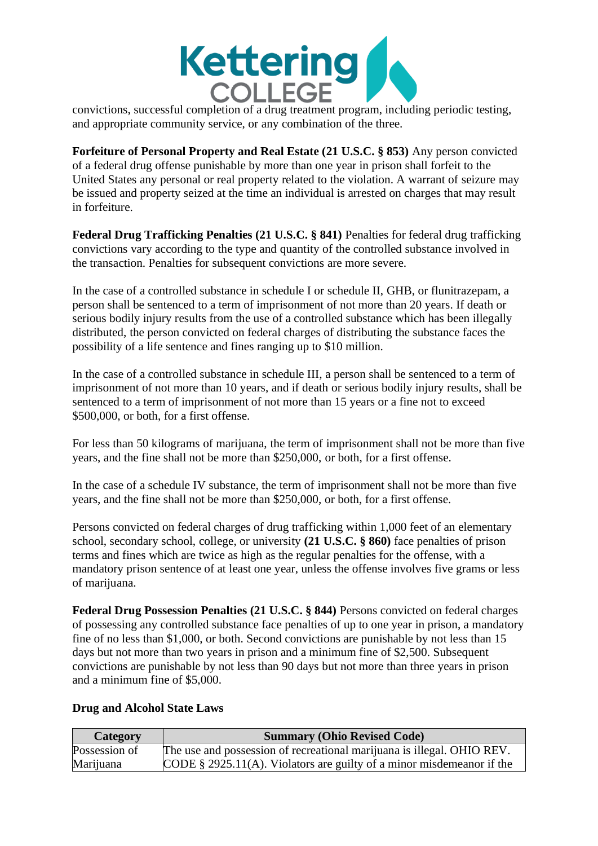

convictions, successful completion of a drug treatment program, including periodic testing, and appropriate community service, or any combination of the three.

**Forfeiture of Personal Property and Real Estate (21 U.S.C. § 853)** Any person convicted of a federal drug offense punishable by more than one year in prison shall forfeit to the United States any personal or real property related to the violation. A warrant of seizure may be issued and property seized at the time an individual is arrested on charges that may result in forfeiture.

**Federal Drug Trafficking Penalties (21 U.S.C. § 841)** Penalties for federal drug trafficking convictions vary according to the type and quantity of the controlled substance involved in the transaction. Penalties for subsequent convictions are more severe.

In the case of a controlled substance in schedule I or schedule II, GHB, or flunitrazepam, a person shall be sentenced to a term of imprisonment of not more than 20 years. If death or serious bodily injury results from the use of a controlled substance which has been illegally distributed, the person convicted on federal charges of distributing the substance faces the possibility of a life sentence and fines ranging up to \$10 million.

In the case of a controlled substance in schedule III, a person shall be sentenced to a term of imprisonment of not more than 10 years, and if death or serious bodily injury results, shall be sentenced to a term of imprisonment of not more than 15 years or a fine not to exceed \$500,000, or both, for a first offense.

For less than 50 kilograms of marijuana, the term of imprisonment shall not be more than five years, and the fine shall not be more than \$250,000, or both, for a first offense.

In the case of a schedule IV substance, the term of imprisonment shall not be more than five years, and the fine shall not be more than \$250,000, or both, for a first offense.

Persons convicted on federal charges of drug trafficking within 1,000 feet of an elementary school, secondary school, college, or university **(21 U.S.C. § 860)** face penalties of prison terms and fines which are twice as high as the regular penalties for the offense, with a mandatory prison sentence of at least one year, unless the offense involves five grams or less of marijuana.

**Federal Drug Possession Penalties (21 U.S.C. § 844)** Persons convicted on federal charges of possessing any controlled substance face penalties of up to one year in prison, a mandatory fine of no less than \$1,000, or both. Second convictions are punishable by not less than 15 days but not more than two years in prison and a minimum fine of \$2,500. Subsequent convictions are punishable by not less than 90 days but not more than three years in prison and a minimum fine of \$5,000.

#### **Drug and Alcohol State Laws**

| Category      | <b>Summary (Ohio Revised Code)</b>                                       |
|---------------|--------------------------------------------------------------------------|
| Possession of | The use and possession of recreational marijuana is illegal. OHIO REV.   |
| Marijuana     | CODE $\S$ 2925.11(A). Violators are guilty of a minor misdemeanor if the |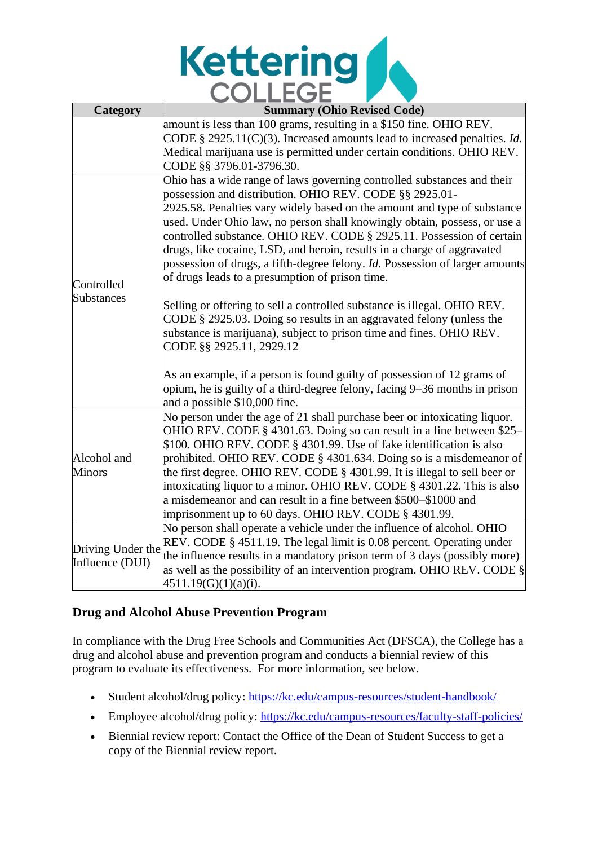

| Category          | <b>Summary (Ohio Revised Code)</b>                                                   |
|-------------------|--------------------------------------------------------------------------------------|
|                   | amount is less than 100 grams, resulting in a \$150 fine. OHIO REV.                  |
|                   | CODE § 2925.11(C)(3). Increased amounts lead to increased penalties. <i>Id.</i>      |
|                   | Medical marijuana use is permitted under certain conditions. OHIO REV.               |
|                   | CODE §§ 3796.01-3796.30.                                                             |
|                   | Ohio has a wide range of laws governing controlled substances and their              |
|                   | possession and distribution. OHIO REV. CODE §§ 2925.01-                              |
|                   | 2925.58. Penalties vary widely based on the amount and type of substance             |
|                   | used. Under Ohio law, no person shall knowingly obtain, possess, or use a            |
|                   | controlled substance. OHIO REV. CODE § 2925.11. Possession of certain                |
|                   | drugs, like cocaine, LSD, and heroin, results in a charge of aggravated              |
|                   | possession of drugs, a fifth-degree felony. <i>Id</i> . Possession of larger amounts |
| Controlled        | of drugs leads to a presumption of prison time.                                      |
| Substances        | Selling or offering to sell a controlled substance is illegal. OHIO REV.             |
|                   | CODE § 2925.03. Doing so results in an aggravated felony (unless the                 |
|                   | substance is marijuana), subject to prison time and fines. OHIO REV.                 |
|                   | CODE §§ 2925.11, 2929.12                                                             |
|                   |                                                                                      |
|                   | As an example, if a person is found guilty of possession of 12 grams of              |
|                   | opium, he is guilty of a third-degree felony, facing 9–36 months in prison           |
|                   | and a possible \$10,000 fine.                                                        |
|                   | No person under the age of 21 shall purchase beer or intoxicating liquor.            |
|                   | OHIO REV. CODE § 4301.63. Doing so can result in a fine between \$25-                |
|                   | \$100. OHIO REV. CODE § 4301.99. Use of fake identification is also                  |
| Alcohol and       | prohibited. OHIO REV. CODE § 4301.634. Doing so is a misdemeanor of                  |
| <b>Minors</b>     | the first degree. OHIO REV. CODE § 4301.99. It is illegal to sell beer or            |
|                   | intoxicating liquor to a minor. OHIO REV. CODE § 4301.22. This is also               |
|                   | a misdemeanor and can result in a fine between \$500–\$1000 and                      |
|                   | imprisonment up to 60 days. OHIO REV. CODE § 4301.99.                                |
|                   | No person shall operate a vehicle under the influence of alcohol. OHIO               |
| Driving Under the | REV. CODE § 4511.19. The legal limit is 0.08 percent. Operating under                |
| Influence (DUI)   | the influence results in a mandatory prison term of 3 days (possibly more)           |
|                   | as well as the possibility of an intervention program. OHIO REV. CODE §              |
|                   | 4511.19(G)(1)(a)(i).                                                                 |

## **Drug and Alcohol Abuse Prevention Program**

In compliance with the Drug Free Schools and Communities Act (DFSCA), the College has a drug and alcohol abuse and prevention program and conducts a biennial review of this program to evaluate its effectiveness. For more information, see below.

- Student alcohol/drug policy: <https://kc.edu/campus-resources/student-handbook/>
- Employee alcohol/drug policy:<https://kc.edu/campus-resources/faculty-staff-policies/>
- Biennial review report: Contact the Office of the Dean of Student Success to get a copy of the Biennial review report.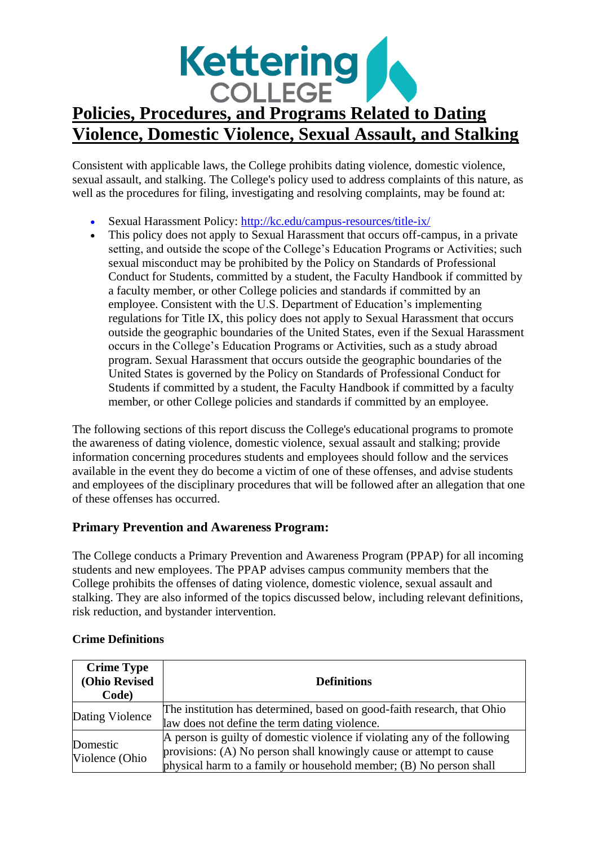

Consistent with applicable laws, the College prohibits dating violence, domestic violence, sexual assault, and stalking. The College's policy used to address complaints of this nature, as well as the procedures for filing, investigating and resolving complaints, may be found at:

- Sexual Harassment Policy:<http://kc.edu/campus-resources/title-ix/>
- This policy does not apply to Sexual Harassment that occurs of f-campus, in a private setting, and outside the scope of the College's Education Programs or Activities; such sexual misconduct may be prohibited by the Policy on Standards of Professional Conduct for Students, committed by a student, the Faculty Handbook if committed by a faculty member, or other College policies and standards if committed by an employee. Consistent with the U.S. Department of Education's implementing regulations for Title IX, this policy does not apply to Sexual Harassment that occurs outside the geographic boundaries of the United States, even if the Sexual Harassment occurs in the College's Education Programs or Activities, such as a study abroad program. Sexual Harassment that occurs outside the geographic boundaries of the United States is governed by the Policy on Standards of Professional Conduct for Students if committed by a student, the Faculty Handbook if committed by a faculty member, or other College policies and standards if committed by an employee.

The following sections of this report discuss the College's educational programs to promote the awareness of dating violence, domestic violence, sexual assault and stalking; provide information concerning procedures students and employees should follow and the services available in the event they do become a victim of one of these offenses, and advise students and employees of the disciplinary procedures that will be followed after an allegation that one of these offenses has occurred.

## **Primary Prevention and Awareness Program:**

The College conducts a Primary Prevention and Awareness Program (PPAP) for all incoming students and new employees. The PPAP advises campus community members that the College prohibits the offenses of dating violence, domestic violence, sexual assault and stalking. They are also informed of the topics discussed below, including relevant definitions, risk reduction, and bystander intervention.

| <b>Crime Type</b><br>(Ohio Revised<br>Code) | <b>Definitions</b>                                                                                                                                                                                                     |
|---------------------------------------------|------------------------------------------------------------------------------------------------------------------------------------------------------------------------------------------------------------------------|
| Dating Violence                             | The institution has determined, based on good-faith research, that Ohio<br>law does not define the term dating violence.                                                                                               |
| Domestic<br>Violence (Ohio                  | A person is guilty of domestic violence if violating any of the following<br>provisions: (A) No person shall knowingly cause or attempt to cause<br>physical harm to a family or household member; (B) No person shall |

#### **Crime Definitions**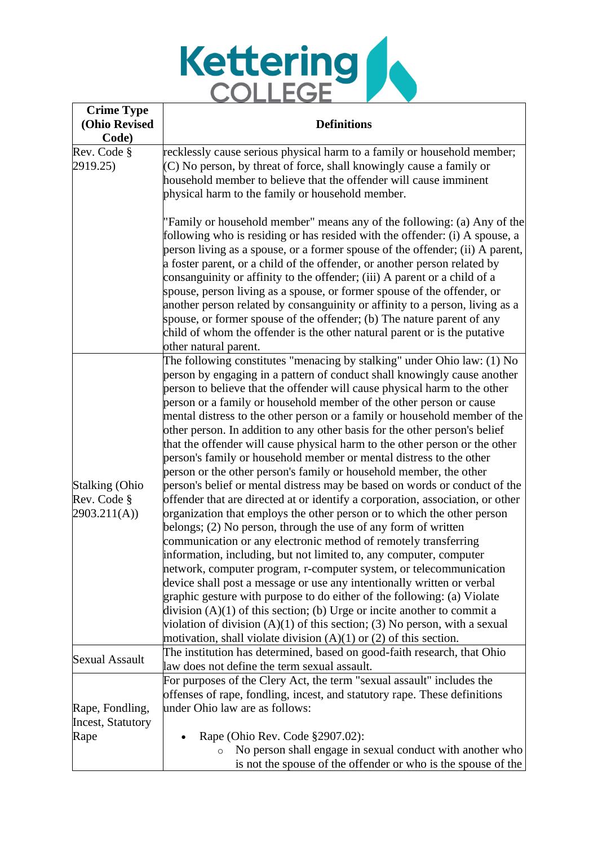

| <b>Crime Type</b><br>(Ohio Revised<br>Code)         | <b>Definitions</b>                                                                                                                                                                                                                                                                                                                                                                                                                                                                                                                                                                                                                                                                                                                                                                                                                                                                                                                                                                                                                                                                                                                                                                                                                                                                                                                                                                                                                                                                                                                                                                                                     |  |  |  |  |  |  |  |
|-----------------------------------------------------|------------------------------------------------------------------------------------------------------------------------------------------------------------------------------------------------------------------------------------------------------------------------------------------------------------------------------------------------------------------------------------------------------------------------------------------------------------------------------------------------------------------------------------------------------------------------------------------------------------------------------------------------------------------------------------------------------------------------------------------------------------------------------------------------------------------------------------------------------------------------------------------------------------------------------------------------------------------------------------------------------------------------------------------------------------------------------------------------------------------------------------------------------------------------------------------------------------------------------------------------------------------------------------------------------------------------------------------------------------------------------------------------------------------------------------------------------------------------------------------------------------------------------------------------------------------------------------------------------------------------|--|--|--|--|--|--|--|
| Rev. Code §                                         | recklessly cause serious physical harm to a family or household member;                                                                                                                                                                                                                                                                                                                                                                                                                                                                                                                                                                                                                                                                                                                                                                                                                                                                                                                                                                                                                                                                                                                                                                                                                                                                                                                                                                                                                                                                                                                                                |  |  |  |  |  |  |  |
| 2919.25)                                            | $(C)$ No person, by threat of force, shall knowingly cause a family or<br>household member to believe that the offender will cause imminent<br>physical harm to the family or household member.                                                                                                                                                                                                                                                                                                                                                                                                                                                                                                                                                                                                                                                                                                                                                                                                                                                                                                                                                                                                                                                                                                                                                                                                                                                                                                                                                                                                                        |  |  |  |  |  |  |  |
|                                                     | "Family or household member" means any of the following: (a) Any of the<br>following who is residing or has resided with the offender: (i) A spouse, a<br>person living as a spouse, or a former spouse of the offender; (ii) A parent,<br>a foster parent, or a child of the offender, or another person related by<br>consanguinity or affinity to the offender; (iii) A parent or a child of a<br>spouse, person living as a spouse, or former spouse of the offender, or<br>another person related by consanguinity or affinity to a person, living as a<br>spouse, or former spouse of the offender; (b) The nature parent of any<br>child of whom the offender is the other natural parent or is the putative<br>other natural parent.                                                                                                                                                                                                                                                                                                                                                                                                                                                                                                                                                                                                                                                                                                                                                                                                                                                                           |  |  |  |  |  |  |  |
| <b>Stalking (Ohio</b><br>Rev. Code §<br>2903.211(A) | The following constitutes "menacing by stalking" under Ohio law: (1) No<br>person by engaging in a pattern of conduct shall knowingly cause another<br>person to believe that the offender will cause physical harm to the other<br>person or a family or household member of the other person or cause<br>mental distress to the other person or a family or household member of the<br>other person. In addition to any other basis for the other person's belief<br>that the offender will cause physical harm to the other person or the other<br>person's family or household member or mental distress to the other<br>person or the other person's family or household member, the other<br>person's belief or mental distress may be based on words or conduct of the<br>offender that are directed at or identify a corporation, association, or other<br>organization that employs the other person or to which the other person<br>belongs; (2) No person, through the use of any form of written<br>communication or any electronic method of remotely transferring<br>information, including, but not limited to, any computer, computer<br>network, computer program, r-computer system, or telecommunication<br>device shall post a message or use any intentionally written or verbal<br>graphic gesture with purpose to do either of the following: (a) Violate<br>division $(A)(1)$ of this section; (b) Urge or incite another to commit a<br>violation of division $(A)(1)$ of this section; (3) No person, with a sexual<br>motivation, shall violate division $(A)(1)$ or $(2)$ of this section. |  |  |  |  |  |  |  |
| <b>Sexual Assault</b>                               | The institution has determined, based on good-faith research, that Ohio<br>law does not define the term sexual assault.                                                                                                                                                                                                                                                                                                                                                                                                                                                                                                                                                                                                                                                                                                                                                                                                                                                                                                                                                                                                                                                                                                                                                                                                                                                                                                                                                                                                                                                                                                |  |  |  |  |  |  |  |
| Rape, Fondling,<br>Incest, Statutory                | For purposes of the Clery Act, the term "sexual assault" includes the<br>offenses of rape, fondling, incest, and statutory rape. These definitions<br>under Ohio law are as follows:                                                                                                                                                                                                                                                                                                                                                                                                                                                                                                                                                                                                                                                                                                                                                                                                                                                                                                                                                                                                                                                                                                                                                                                                                                                                                                                                                                                                                                   |  |  |  |  |  |  |  |
|                                                     |                                                                                                                                                                                                                                                                                                                                                                                                                                                                                                                                                                                                                                                                                                                                                                                                                                                                                                                                                                                                                                                                                                                                                                                                                                                                                                                                                                                                                                                                                                                                                                                                                        |  |  |  |  |  |  |  |
| Rape                                                | Rape (Ohio Rev. Code §2907.02):                                                                                                                                                                                                                                                                                                                                                                                                                                                                                                                                                                                                                                                                                                                                                                                                                                                                                                                                                                                                                                                                                                                                                                                                                                                                                                                                                                                                                                                                                                                                                                                        |  |  |  |  |  |  |  |
|                                                     | No person shall engage in sexual conduct with another who<br>$\circ$<br>is not the spouse of the offender or who is the spouse of the                                                                                                                                                                                                                                                                                                                                                                                                                                                                                                                                                                                                                                                                                                                                                                                                                                                                                                                                                                                                                                                                                                                                                                                                                                                                                                                                                                                                                                                                                  |  |  |  |  |  |  |  |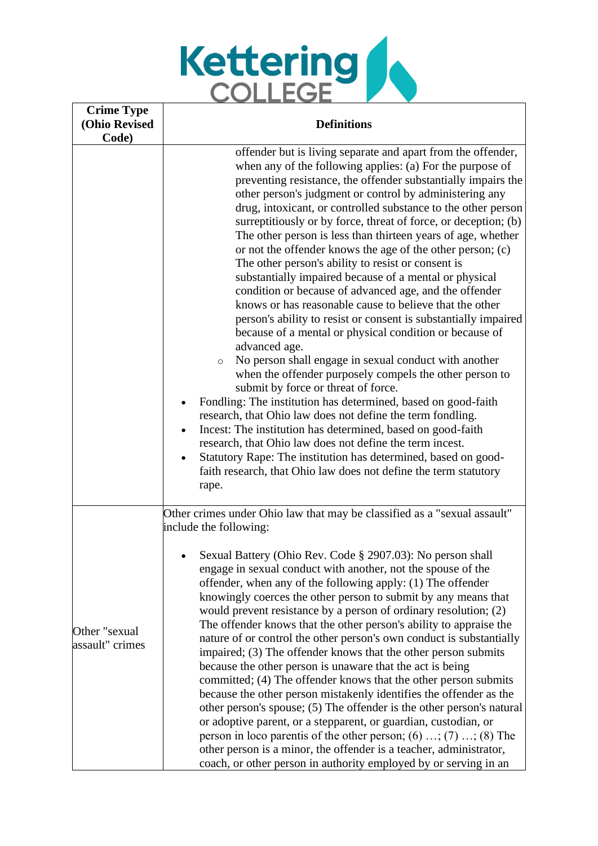

| <b>Crime Type</b>                |                                                                                                                                                                                                                                                                                                                                                                                                                                                                                                                                                                                                                                                                                                                                                                                                                                                                                                                                                                                                                                                                                                                                                                                                                                                                                                                                                                                                                                                                                                         |  |  |  |  |  |  |  |
|----------------------------------|---------------------------------------------------------------------------------------------------------------------------------------------------------------------------------------------------------------------------------------------------------------------------------------------------------------------------------------------------------------------------------------------------------------------------------------------------------------------------------------------------------------------------------------------------------------------------------------------------------------------------------------------------------------------------------------------------------------------------------------------------------------------------------------------------------------------------------------------------------------------------------------------------------------------------------------------------------------------------------------------------------------------------------------------------------------------------------------------------------------------------------------------------------------------------------------------------------------------------------------------------------------------------------------------------------------------------------------------------------------------------------------------------------------------------------------------------------------------------------------------------------|--|--|--|--|--|--|--|
| <b>(Ohio Revised</b>             | <b>Definitions</b>                                                                                                                                                                                                                                                                                                                                                                                                                                                                                                                                                                                                                                                                                                                                                                                                                                                                                                                                                                                                                                                                                                                                                                                                                                                                                                                                                                                                                                                                                      |  |  |  |  |  |  |  |
| Code)                            | offender but is living separate and apart from the offender,<br>when any of the following applies: (a) For the purpose of<br>preventing resistance, the offender substantially impairs the<br>other person's judgment or control by administering any<br>drug, intoxicant, or controlled substance to the other person<br>surreptitiously or by force, threat of force, or deception; (b)<br>The other person is less than thirteen years of age, whether<br>or not the offender knows the age of the other person; (c)<br>The other person's ability to resist or consent is<br>substantially impaired because of a mental or physical<br>condition or because of advanced age, and the offender<br>knows or has reasonable cause to believe that the other<br>person's ability to resist or consent is substantially impaired<br>because of a mental or physical condition or because of<br>advanced age.<br>No person shall engage in sexual conduct with another<br>$\circ$<br>when the offender purposely compels the other person to<br>submit by force or threat of force.<br>Fondling: The institution has determined, based on good-faith<br>research, that Ohio law does not define the term fondling.<br>Incest: The institution has determined, based on good-faith<br>research, that Ohio law does not define the term incest.<br>Statutory Rape: The institution has determined, based on good-<br>$\bullet$<br>faith research, that Ohio law does not define the term statutory<br>rape. |  |  |  |  |  |  |  |
| Other "sexual<br>assault" crimes | Other crimes under Ohio law that may be classified as a "sexual assault"<br>include the following:<br>Sexual Battery (Ohio Rev. Code § 2907.03): No person shall<br>engage in sexual conduct with another, not the spouse of the<br>offender, when any of the following apply: (1) The offender<br>knowingly coerces the other person to submit by any means that<br>would prevent resistance by a person of ordinary resolution; (2)<br>The offender knows that the other person's ability to appraise the<br>nature of or control the other person's own conduct is substantially<br>impaired; (3) The offender knows that the other person submits<br>because the other person is unaware that the act is being<br>committed; (4) The offender knows that the other person submits<br>because the other person mistakenly identifies the offender as the<br>other person's spouse; (5) The offender is the other person's natural<br>or adoptive parent, or a stepparent, or guardian, custodian, or<br>person in loco parentis of the other person; $(6)$ ; $(7)$ ; $(8)$ The<br>other person is a minor, the offender is a teacher, administrator,<br>coach, or other person in authority employed by or serving in an                                                                                                                                                                                                                                                                             |  |  |  |  |  |  |  |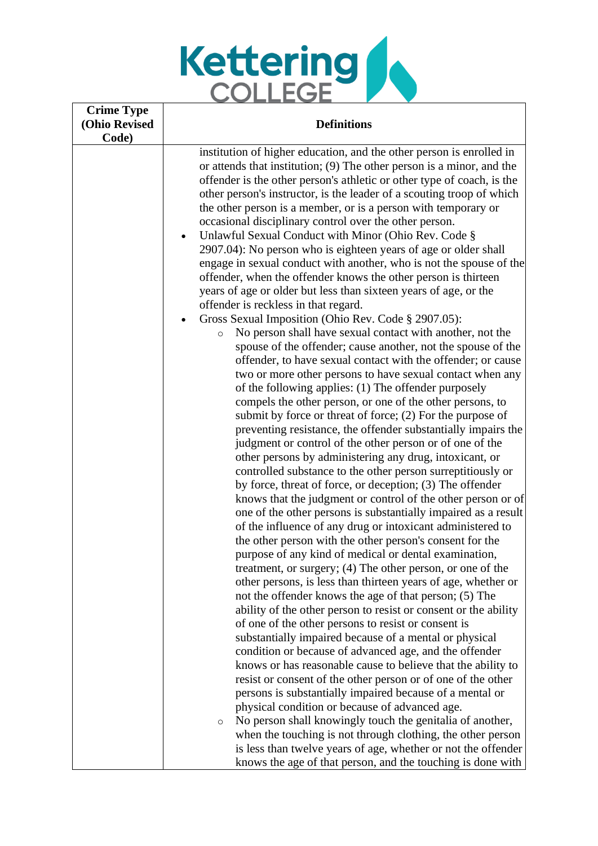

| <b>Crime Type</b><br><b>(Ohio Revised</b> | <b>Definitions</b>                                                                                                                                                                                                                                                                                                                                                                                                                                                                                                                                                   |  |  |  |  |  |  |  |  |
|-------------------------------------------|----------------------------------------------------------------------------------------------------------------------------------------------------------------------------------------------------------------------------------------------------------------------------------------------------------------------------------------------------------------------------------------------------------------------------------------------------------------------------------------------------------------------------------------------------------------------|--|--|--|--|--|--|--|--|
| Code)                                     | institution of higher education, and the other person is enrolled in<br>or attends that institution; (9) The other person is a minor, and the<br>offender is the other person's athletic or other type of coach, is the<br>other person's instructor, is the leader of a scouting troop of which<br>the other person is a member, or is a person with temporary or<br>occasional disciplinary control over the other person.<br>Unlawful Sexual Conduct with Minor (Ohio Rev. Code §<br>$\bullet$<br>2907.04): No person who is eighteen years of age or older shall |  |  |  |  |  |  |  |  |
|                                           | engage in sexual conduct with another, who is not the spouse of the<br>offender, when the offender knows the other person is thirteen<br>years of age or older but less than sixteen years of age, or the<br>offender is reckless in that regard.<br>Gross Sexual Imposition (Ohio Rev. Code § 2907.05):<br>No person shall have sexual contact with another, not the<br>$\circ$<br>spouse of the offender; cause another, not the spouse of the                                                                                                                     |  |  |  |  |  |  |  |  |
|                                           | offender, to have sexual contact with the offender; or cause<br>two or more other persons to have sexual contact when any<br>of the following applies: (1) The offender purposely<br>compels the other person, or one of the other persons, to<br>submit by force or threat of force; $(2)$ For the purpose of<br>preventing resistance, the offender substantially impairs the<br>judgment or control of the other person or of one of the                                                                                                                          |  |  |  |  |  |  |  |  |
|                                           | other persons by administering any drug, intoxicant, or<br>controlled substance to the other person surreptitiously or<br>by force, threat of force, or deception; (3) The offender<br>knows that the judgment or control of the other person or of<br>one of the other persons is substantially impaired as a result<br>of the influence of any drug or intoxicant administered to                                                                                                                                                                                  |  |  |  |  |  |  |  |  |
|                                           | the other person with the other person's consent for the<br>purpose of any kind of medical or dental examination,<br>treatment, or surgery; (4) The other person, or one of the<br>other persons, is less than thirteen years of age, whether or<br>not the offender knows the age of that person; (5) The<br>ability of the other person to resist or consent or the ability                                                                                                                                                                                        |  |  |  |  |  |  |  |  |
|                                           | of one of the other persons to resist or consent is<br>substantially impaired because of a mental or physical<br>condition or because of advanced age, and the offender<br>knows or has reasonable cause to believe that the ability to<br>resist or consent of the other person or of one of the other<br>persons is substantially impaired because of a mental or                                                                                                                                                                                                  |  |  |  |  |  |  |  |  |
|                                           | physical condition or because of advanced age.<br>No person shall knowingly touch the genitalia of another,<br>$\circ$<br>when the touching is not through clothing, the other person<br>is less than twelve years of age, whether or not the offender<br>knows the age of that person, and the touching is done with                                                                                                                                                                                                                                                |  |  |  |  |  |  |  |  |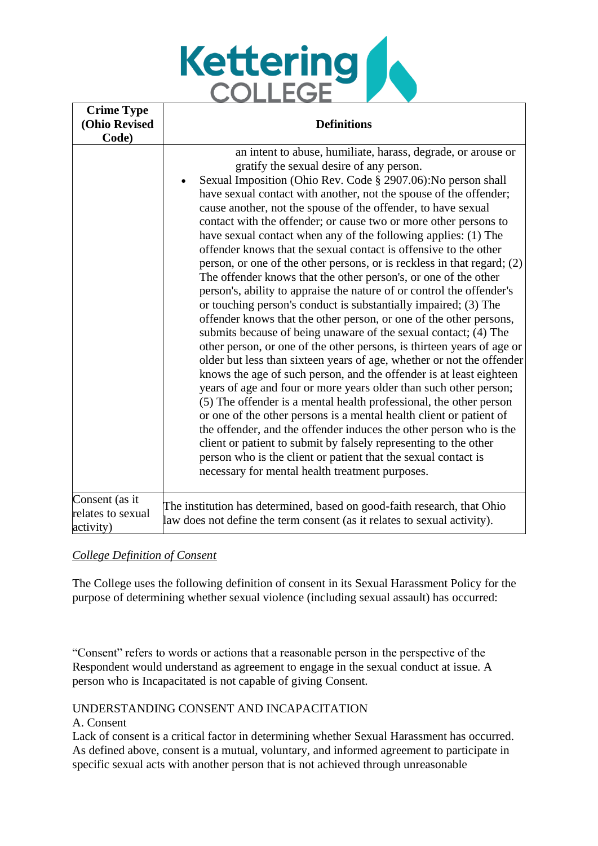

| <b>Crime Type</b><br>(Ohio Revised<br>Code)      | <b>Definitions</b>                                                                                                                                                                                                                                                                                                                                                                                                                                                                                                                                                                                                                                                                                                                                                                                                                                                                                                                                                                                                                                                                                                                                                                                                                                                                                                                                                                                                                                                                                                                                                                                                                                                      |
|--------------------------------------------------|-------------------------------------------------------------------------------------------------------------------------------------------------------------------------------------------------------------------------------------------------------------------------------------------------------------------------------------------------------------------------------------------------------------------------------------------------------------------------------------------------------------------------------------------------------------------------------------------------------------------------------------------------------------------------------------------------------------------------------------------------------------------------------------------------------------------------------------------------------------------------------------------------------------------------------------------------------------------------------------------------------------------------------------------------------------------------------------------------------------------------------------------------------------------------------------------------------------------------------------------------------------------------------------------------------------------------------------------------------------------------------------------------------------------------------------------------------------------------------------------------------------------------------------------------------------------------------------------------------------------------------------------------------------------------|
|                                                  | an intent to abuse, humiliate, harass, degrade, or arouse or<br>gratify the sexual desire of any person.<br>Sexual Imposition (Ohio Rev. Code § 2907.06): No person shall<br>have sexual contact with another, not the spouse of the offender;<br>cause another, not the spouse of the offender, to have sexual<br>contact with the offender; or cause two or more other persons to<br>have sexual contact when any of the following applies: (1) The<br>offender knows that the sexual contact is offensive to the other<br>person, or one of the other persons, or is reckless in that regard; (2)<br>The offender knows that the other person's, or one of the other<br>person's, ability to appraise the nature of or control the offender's<br>or touching person's conduct is substantially impaired; (3) The<br>offender knows that the other person, or one of the other persons,<br>submits because of being unaware of the sexual contact; (4) The<br>other person, or one of the other persons, is thirteen years of age or<br>older but less than sixteen years of age, whether or not the offender<br>knows the age of such person, and the offender is at least eighteen<br>years of age and four or more years older than such other person;<br>(5) The offender is a mental health professional, the other person<br>or one of the other persons is a mental health client or patient of<br>the offender, and the offender induces the other person who is the<br>client or patient to submit by falsely representing to the other<br>person who is the client or patient that the sexual contact is<br>necessary for mental health treatment purposes. |
| Consent (as it<br>relates to sexual<br>activity) | The institution has determined, based on good-faith research, that Ohio<br>law does not define the term consent (as it relates to sexual activity).                                                                                                                                                                                                                                                                                                                                                                                                                                                                                                                                                                                                                                                                                                                                                                                                                                                                                                                                                                                                                                                                                                                                                                                                                                                                                                                                                                                                                                                                                                                     |

#### *College Definition of Consent*

The College uses the following definition of consent in its Sexual Harassment Policy for the purpose of determining whether sexual violence (including sexual assault) has occurred:

"Consent" refers to words or actions that a reasonable person in the perspective of the Respondent would understand as agreement to engage in the sexual conduct at issue. A person who is Incapacitated is not capable of giving Consent.

#### UNDERSTANDING CONSENT AND INCAPACITATION

#### A. Consent

Lack of consent is a critical factor in determining whether Sexual Harassment has occurred. As defined above, consent is a mutual, voluntary, and informed agreement to participate in specific sexual acts with another person that is not achieved through unreasonable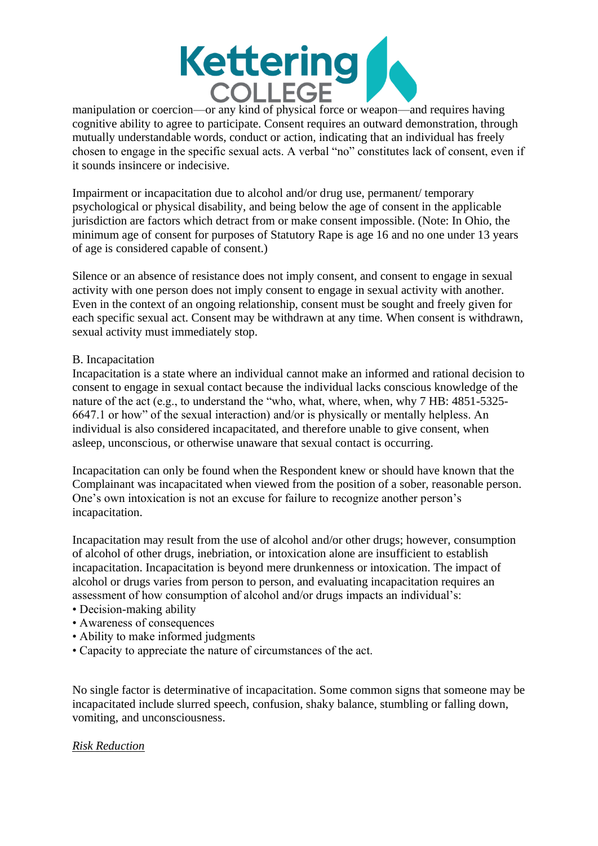

manipulation or coercion—or any kind of physical force or weapon—and requires having cognitive ability to agree to participate. Consent requires an outward demonstration, through mutually understandable words, conduct or action, indicating that an individual has freely chosen to engage in the specific sexual acts. A verbal "no" constitutes lack of consent, even if it sounds insincere or indecisive.

Impairment or incapacitation due to alcohol and/or drug use, permanent/ temporary psychological or physical disability, and being below the age of consent in the applicable jurisdiction are factors which detract from or make consent impossible. (Note: In Ohio, the minimum age of consent for purposes of Statutory Rape is age 16 and no one under 13 years of age is considered capable of consent.)

Silence or an absence of resistance does not imply consent, and consent to engage in sexual activity with one person does not imply consent to engage in sexual activity with another. Even in the context of an ongoing relationship, consent must be sought and freely given for each specific sexual act. Consent may be withdrawn at any time. When consent is withdrawn, sexual activity must immediately stop.

#### B. Incapacitation

Incapacitation is a state where an individual cannot make an informed and rational decision to consent to engage in sexual contact because the individual lacks conscious knowledge of the nature of the act (e.g., to understand the "who, what, where, when, why 7 HB: 4851-5325- 6647.1 or how" of the sexual interaction) and/or is physically or mentally helpless. An individual is also considered incapacitated, and therefore unable to give consent, when asleep, unconscious, or otherwise unaware that sexual contact is occurring.

Incapacitation can only be found when the Respondent knew or should have known that the Complainant was incapacitated when viewed from the position of a sober, reasonable person. One's own intoxication is not an excuse for failure to recognize another person's incapacitation.

Incapacitation may result from the use of alcohol and/or other drugs; however, consumption of alcohol of other drugs, inebriation, or intoxication alone are insufficient to establish incapacitation. Incapacitation is beyond mere drunkenness or intoxication. The impact of alcohol or drugs varies from person to person, and evaluating incapacitation requires an assessment of how consumption of alcohol and/or drugs impacts an individual's:

- Decision-making ability
- Awareness of consequences
- Ability to make informed judgments
- Capacity to appreciate the nature of circumstances of the act.

No single factor is determinative of incapacitation. Some common signs that someone may be incapacitated include slurred speech, confusion, shaky balance, stumbling or falling down, vomiting, and unconsciousness.

#### *Risk Reduction*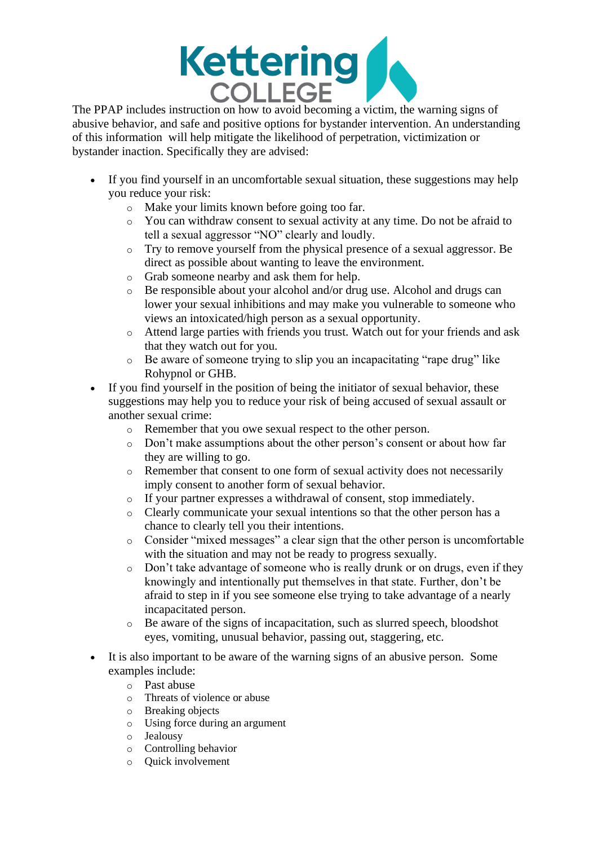

The PPAP includes instruction on how to avoid becoming a victim, the warning signs of abusive behavior, and safe and positive options for bystander intervention. An understanding of this information will help mitigate the likelihood of perpetration, victimization or bystander inaction. Specifically they are advised:

- If you find yourself in an uncomfortable sexual situation, these suggestions may help you reduce your risk:
	- o Make your limits known before going too far.
	- o You can withdraw consent to sexual activity at any time. Do not be afraid to tell a sexual aggressor "NO" clearly and loudly.
	- o Try to remove yourself from the physical presence of a sexual aggressor. Be direct as possible about wanting to leave the environment.
	- o Grab someone nearby and ask them for help.
	- o Be responsible about your alcohol and/or drug use. Alcohol and drugs can lower your sexual inhibitions and may make you vulnerable to someone who views an intoxicated/high person as a sexual opportunity.
	- o Attend large parties with friends you trust. Watch out for your friends and ask that they watch out for you.
	- o Be aware of someone trying to slip you an incapacitating "rape drug" like Rohypnol or GHB.
- If you find yourself in the position of being the initiator of sexual behavior, these suggestions may help you to reduce your risk of being accused of sexual assault or another sexual crime:
	- o Remember that you owe sexual respect to the other person.
	- o Don't make assumptions about the other person's consent or about how far they are willing to go.
	- o Remember that consent to one form of sexual activity does not necessarily imply consent to another form of sexual behavior.
	- o If your partner expresses a withdrawal of consent, stop immediately.
	- o Clearly communicate your sexual intentions so that the other person has a chance to clearly tell you their intentions.
	- o Consider "mixed messages" a clear sign that the other person is uncomfortable with the situation and may not be ready to progress sexually.
	- o Don't take advantage of someone who is really drunk or on drugs, even if they knowingly and intentionally put themselves in that state. Further, don't be afraid to step in if you see someone else trying to take advantage of a nearly incapacitated person.
	- o Be aware of the signs of incapacitation, such as slurred speech, bloodshot eyes, vomiting, unusual behavior, passing out, staggering, etc.
- It is also important to be aware of the warning signs of an abusive person. Some examples include:
	- o Past abuse
	- o Threats of violence or abuse
	- o Breaking objects
	- o Using force during an argument
	- o Jealousy
	- o Controlling behavior
	- o Quick involvement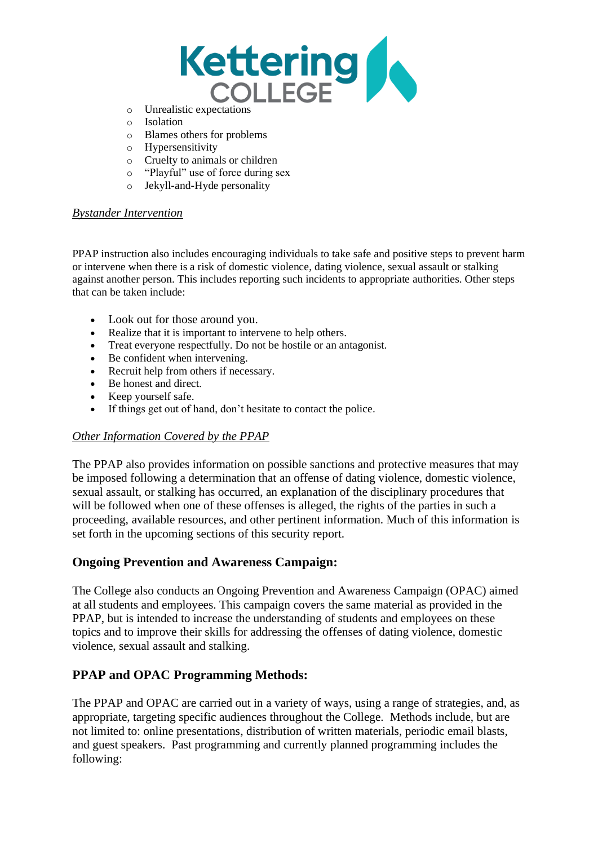

- o Unrealistic expectations
- o Isolation
- o Blames others for problems
- o Hypersensitivity
- o Cruelty to animals or children
- o "Playful" use of force during sex
- o Jekyll-and-Hyde personality

#### *Bystander Intervention*

PPAP instruction also includes encouraging individuals to take safe and positive steps to prevent harm or intervene when there is a risk of domestic violence, dating violence, sexual assault or stalking against another person. This includes reporting such incidents to appropriate authorities. Other steps that can be taken include:

- Look out for those around you.
- Realize that it is important to intervene to help others.
- Treat everyone respectfully. Do not be hostile or an antagonist.
- Be confident when intervening.
- Recruit help from others if necessary.
- Be honest and direct.
- Keep yourself safe.
- If things get out of hand, don't hesitate to contact the police.

#### *Other Information Covered by the PPAP*

The PPAP also provides information on possible sanctions and protective measures that may be imposed following a determination that an offense of dating violence, domestic violence, sexual assault, or stalking has occurred, an explanation of the disciplinary procedures that will be followed when one of these offenses is alleged, the rights of the parties in such a proceeding, available resources, and other pertinent information. Much of this information is set forth in the upcoming sections of this security report.

## **Ongoing Prevention and Awareness Campaign:**

The College also conducts an Ongoing Prevention and Awareness Campaign (OPAC) aimed at all students and employees. This campaign covers the same material as provided in the PPAP, but is intended to increase the understanding of students and employees on these topics and to improve their skills for addressing the offenses of dating violence, domestic violence, sexual assault and stalking.

## **PPAP and OPAC Programming Methods:**

The PPAP and OPAC are carried out in a variety of ways, using a range of strategies, and, as appropriate, targeting specific audiences throughout the College. Methods include, but are not limited to: online presentations, distribution of written materials, periodic email blasts, and guest speakers. Past programming and currently planned programming includes the following: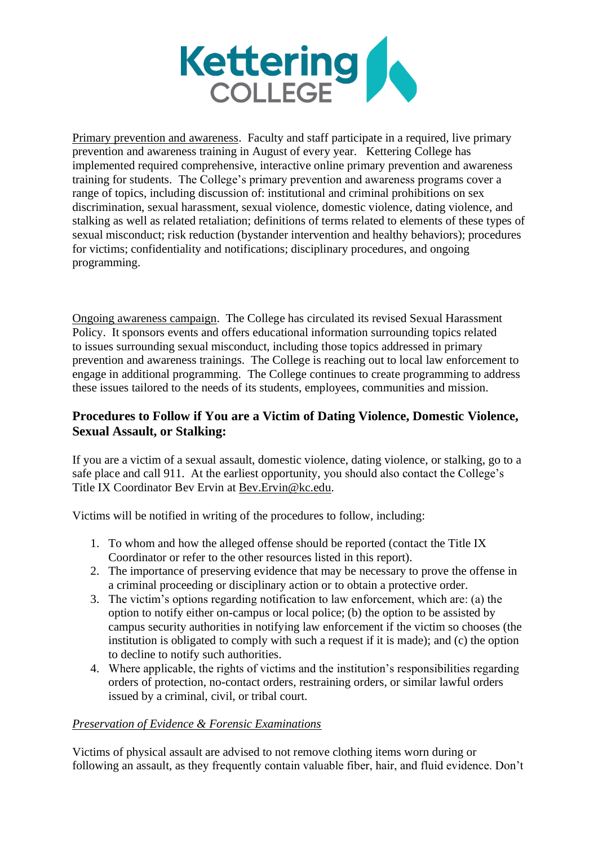

Primary prevention and awareness. Faculty and staff participate in a required, live primary prevention and awareness training in August of every year. Kettering College has implemented required comprehensive, interactive online primary prevention and awareness training for students. The College's primary prevention and awareness programs cover a range of topics, including discussion of: institutional and criminal prohibitions on sex discrimination, sexual harassment, sexual violence, domestic violence, dating violence, and stalking as well as related retaliation; definitions of terms related to elements of these types of sexual misconduct; risk reduction (bystander intervention and healthy behaviors); procedures for victims; confidentiality and notifications; disciplinary procedures, and ongoing programming.

Ongoing awareness campaign. The College has circulated its revised Sexual Harassment Policy. It sponsors events and offers educational information surrounding topics related to issues surrounding sexual misconduct, including those topics addressed in primary prevention and awareness trainings. The College is reaching out to local law enforcement to engage in additional programming. The College continues to create programming to address these issues tailored to the needs of its students, employees, communities and mission.

## **Procedures to Follow if You are a Victim of Dating Violence, Domestic Violence, Sexual Assault, or Stalking:**

If you are a victim of a sexual assault, domestic violence, dating violence, or stalking, go to a safe place and call 911. At the earliest opportunity, you should also contact the College's Title IX Coordinator Bev Ervin at [Bev.Ervin@kc.edu.](mailto:Bev.Ervin@kc.edu)

Victims will be notified in writing of the procedures to follow, including:

- 1. To whom and how the alleged offense should be reported (contact the Title IX Coordinator or refer to the other resources listed in this report).
- 2. The importance of preserving evidence that may be necessary to prove the offense in a criminal proceeding or disciplinary action or to obtain a protective order.
- 3. The victim's options regarding notification to law enforcement, which are: (a) the option to notify either on-campus or local police; (b) the option to be assisted by campus security authorities in notifying law enforcement if the victim so chooses (the institution is obligated to comply with such a request if it is made); and (c) the option to decline to notify such authorities.
- 4. Where applicable, the rights of victims and the institution's responsibilities regarding orders of protection, no-contact orders, restraining orders, or similar lawful orders issued by a criminal, civil, or tribal court.

#### *Preservation of Evidence & Forensic Examinations*

Victims of physical assault are advised to not remove clothing items worn during or following an assault, as they frequently contain valuable fiber, hair, and fluid evidence. Don't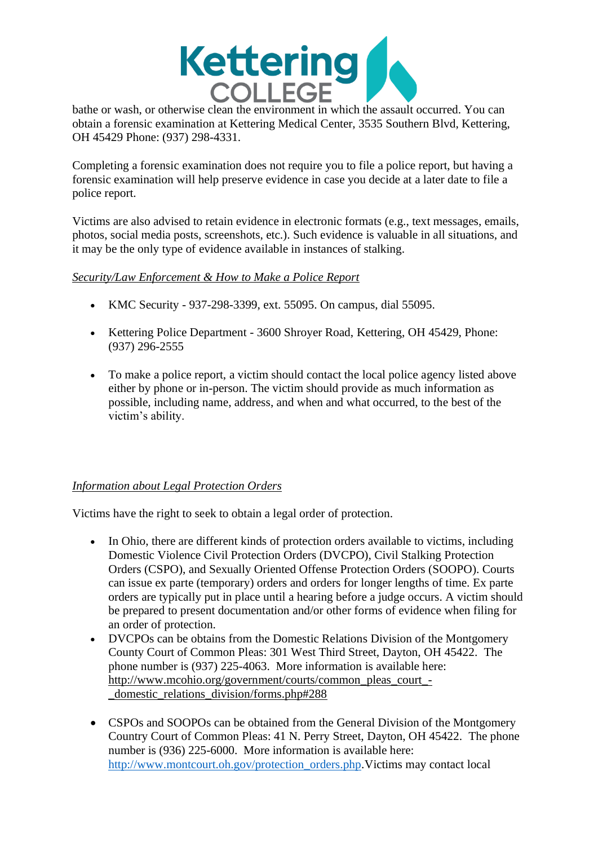

bathe or wash, or otherwise clean the environment in which the assault occurred. You can obtain a forensic examination at Kettering Medical Center, 3535 Southern Blvd, Kettering, OH 45429 Phone: (937) 298-4331.

Completing a forensic examination does not require you to file a police report, but having a forensic examination will help preserve evidence in case you decide at a later date to file a police report.

Victims are also advised to retain evidence in electronic formats (e.g., text messages, emails, photos, social media posts, screenshots, etc.). Such evidence is valuable in all situations, and it may be the only type of evidence available in instances of stalking.

### *Security/Law Enforcement & How to Make a Police Report*

- KMC Security 937-298-3399, ext. 55095. On campus, dial 55095.
- Kettering Police Department 3600 Shroyer Road, Kettering, OH 45429, Phone: (937) 296-2555
- To make a police report, a victim should contact the local police agency listed above either by phone or in-person. The victim should provide as much information as possible, including name, address, and when and what occurred, to the best of the victim's ability.

## *Information about Legal Protection Orders*

Victims have the right to seek to obtain a legal order of protection.

- In Ohio, there are different kinds of protection orders available to victims, including Domestic Violence Civil Protection Orders (DVCPO), Civil Stalking Protection Orders (CSPO), and Sexually Oriented Offense Protection Orders (SOOPO). Courts can issue ex parte (temporary) orders and orders for longer lengths of time. Ex parte orders are typically put in place until a hearing before a judge occurs. A victim should be prepared to present documentation and/or other forms of evidence when filing for an order of protection.
- DVCPOs can be obtains from the Domestic Relations Division of the Montgomery County Court of Common Pleas: 301 West Third Street, Dayton, OH 45422. The phone number is (937) 225-4063. More information is available here: [http://www.mcohio.org/government/courts/common\\_pleas\\_court\\_-](http://www.mcohio.org/government/courts/common_pleas_court_-_domestic_relations_division/forms.php#288) [\\_domestic\\_relations\\_division/forms.php#288](http://www.mcohio.org/government/courts/common_pleas_court_-_domestic_relations_division/forms.php#288)
- CSPOs and SOOPOs can be obtained from the General Division of the Montgomery Country Court of Common Pleas: 41 N. Perry Street, Dayton, OH 45422. The phone number is (936) 225-6000. More information is available here: [http://www.montcourt.oh.gov/protection\\_orders.php.](http://www.montcourt.oh.gov/protection_orders.php)Victims may contact local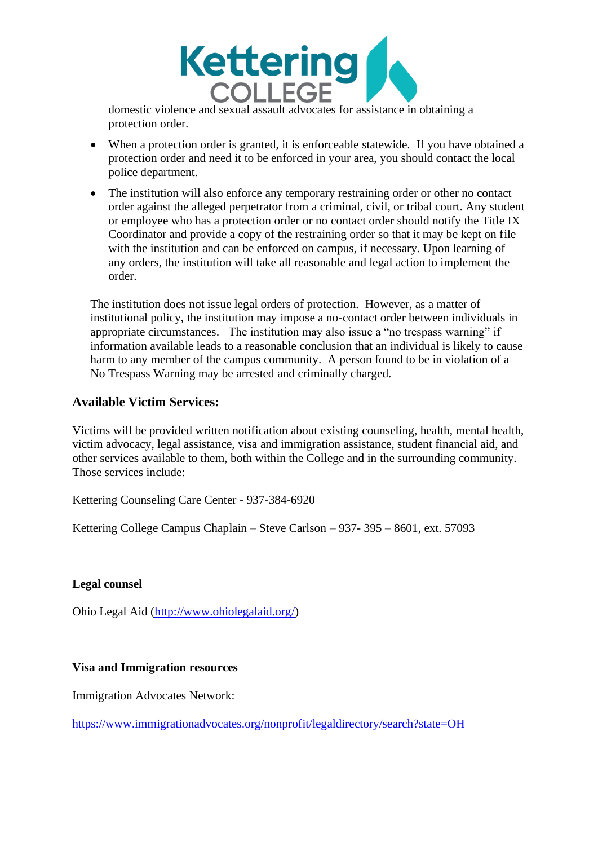

domestic violence and sexual assault advocates for assistance in obtaining a protection order.

- When a protection order is granted, it is enforceable statewide. If you have obtained a protection order and need it to be enforced in your area, you should contact the local police department.
- The institution will also enforce any temporary restraining order or other no contact order against the alleged perpetrator from a criminal, civil, or tribal court. Any student or employee who has a protection order or no contact order should notify the Title IX Coordinator and provide a copy of the restraining order so that it may be kept on file with the institution and can be enforced on campus, if necessary. Upon learning of any orders, the institution will take all reasonable and legal action to implement the order.

The institution does not issue legal orders of protection. However, as a matter of institutional policy, the institution may impose a no-contact order between individuals in appropriate circumstances. The institution may also issue a "no trespass warning" if information available leads to a reasonable conclusion that an individual is likely to cause harm to any member of the campus community. A person found to be in violation of a No Trespass Warning may be arrested and criminally charged.

### **Available Victim Services:**

Victims will be provided written notification about existing counseling, health, mental health, victim advocacy, legal assistance, visa and immigration assistance, student financial aid, and other services available to them, both within the College and in the surrounding community. Those services include:

Kettering Counseling Care Center - 937-384-6920

Kettering College Campus Chaplain – Steve Carlson – 937- 395 – 8601, ext. 57093

#### **Legal counsel**

Ohio Legal Aid [\(http://www.ohiolegalaid.org/\)](http://www.ohiolegalaid.org/)

#### **Visa and Immigration resources**

Immigration Advocates Network:

<https://www.immigrationadvocates.org/nonprofit/legaldirectory/search?state=OH>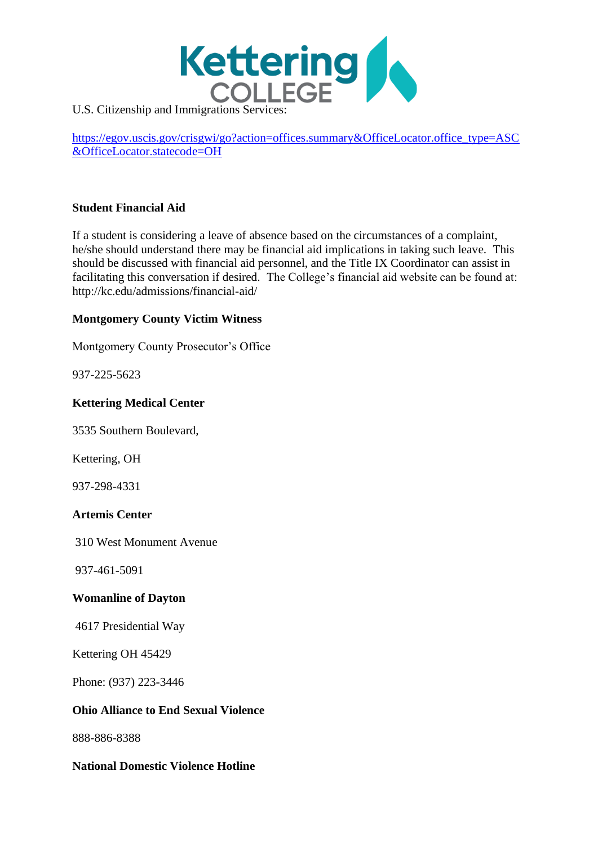

U.S. Citizenship and Immigrations Services:

[https://egov.uscis.gov/crisgwi/go?action=offices.summary&OfficeLocator.office\\_type=ASC](https://egov.uscis.gov/crisgwi/go?action=offices.summary&OfficeLocator.office_type=ASC&OfficeLocator.statecode=OH) [&OfficeLocator.statecode=OH](https://egov.uscis.gov/crisgwi/go?action=offices.summary&OfficeLocator.office_type=ASC&OfficeLocator.statecode=OH)

#### **Student Financial Aid**

If a student is considering a leave of absence based on the circumstances of a complaint, he/she should understand there may be financial aid implications in taking such leave. This should be discussed with financial aid personnel, and the Title IX Coordinator can assist in facilitating this conversation if desired. The College's financial aid website can be found at: http://kc.edu/admissions/financial-aid/

#### **Montgomery County Victim Witness**

Montgomery County Prosecutor's Office

937-225-5623

#### **Kettering Medical Center**

3535 Southern Boulevard,

Kettering, OH

937-298-4331

#### **Artemis Center**

310 West Monument Avenue

937-461-5091

#### **Womanline of Dayton**

4617 Presidential Way

Kettering OH 45429

Phone: (937) 223-3446

#### **Ohio Alliance to End Sexual Violence**

888-886-8388

#### **National Domestic Violence Hotline**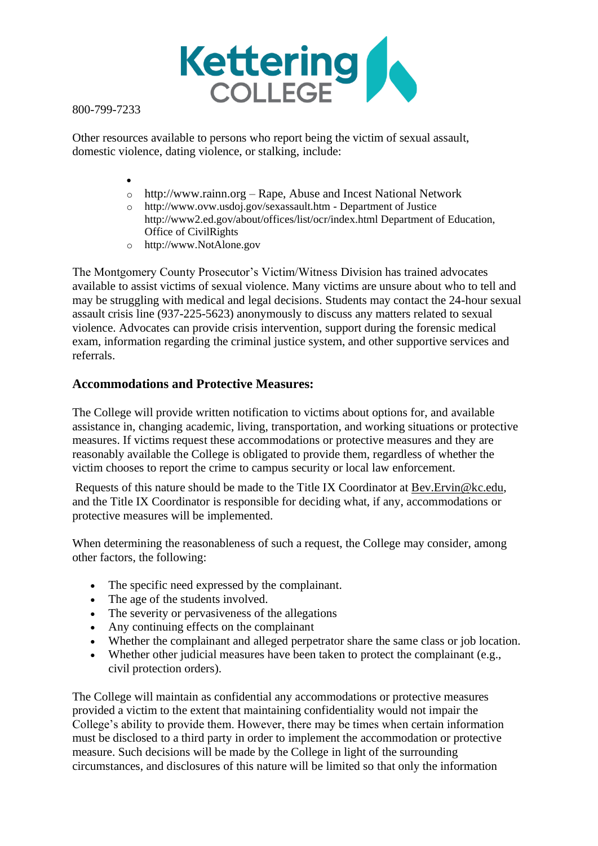

800-799-7233

Other resources available to persons who report being the victim of sexual assault, domestic violence, dating violence, or stalking, include:

- •
- o http://www.rainn.org Rape, Abuse and Incest National Network
- o http://www.ovw.usdoj.gov/sexassault.htm Department of Justice http://www2.ed.gov/about/offices/list/ocr/index.html Department of Education, Office of CivilRights
- o http://www.NotAlone.gov

The Montgomery County Prosecutor's Victim/Witness Division has trained advocates available to assist victims of sexual violence. Many victims are unsure about who to tell and may be struggling with medical and legal decisions. Students may contact the 24-hour sexual assault crisis line (937-225-5623) anonymously to discuss any matters related to sexual violence. Advocates can provide crisis intervention, support during the forensic medical exam, information regarding the criminal justice system, and other supportive services and referrals.

#### **Accommodations and Protective Measures:**

The College will provide written notification to victims about options for, and available assistance in, changing academic, living, transportation, and working situations or protective measures. If victims request these accommodations or protective measures and they are reasonably available the College is obligated to provide them, regardless of whether the victim chooses to report the crime to campus security or local law enforcement.

Requests of this nature should be made to the Title IX Coordinator at [Bev.Ervin@kc.edu,](mailto:Bev.Ervin@kc.edu) and the Title IX Coordinator is responsible for deciding what, if any, accommodations or protective measures will be implemented.

When determining the reasonableness of such a request, the College may consider, among other factors, the following:

- The specific need expressed by the complainant.
- The age of the students involved.
- The severity or pervasiveness of the allegations
- Any continuing effects on the complainant
- Whether the complainant and alleged perpetrator share the same class or job location.
- Whether other judicial measures have been taken to protect the complainant (e.g., civil protection orders).

The College will maintain as confidential any accommodations or protective measures provided a victim to the extent that maintaining confidentiality would not impair the College's ability to provide them. However, there may be times when certain information must be disclosed to a third party in order to implement the accommodation or protective measure. Such decisions will be made by the College in light of the surrounding circumstances, and disclosures of this nature will be limited so that only the information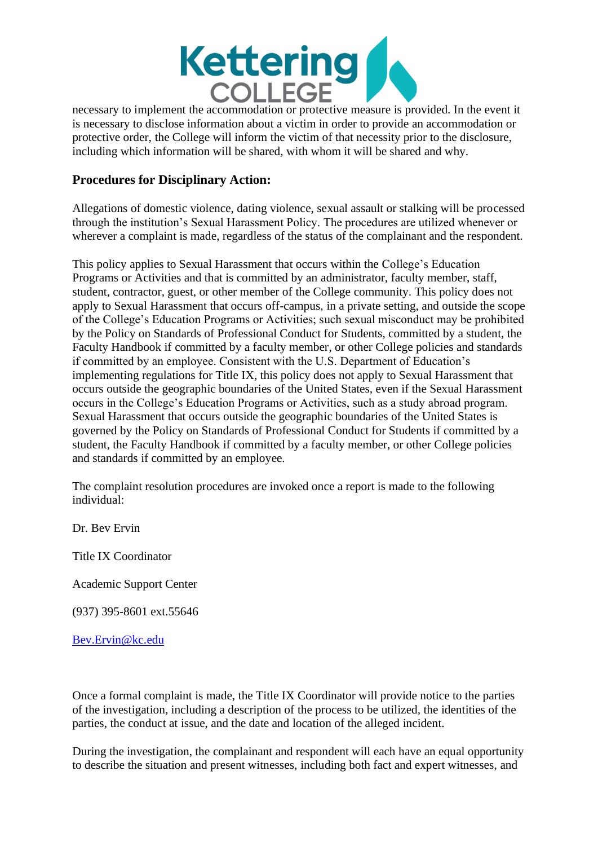

necessary to implement the accommodation or protective measure is provided. In the event it is necessary to disclose information about a victim in order to provide an accommodation or protective order, the College will inform the victim of that necessity prior to the disclosure, including which information will be shared, with whom it will be shared and why.

## **Procedures for Disciplinary Action:**

Allegations of domestic violence, dating violence, sexual assault or stalking will be processed through the institution's Sexual Harassment Policy. The procedures are utilized whenever or wherever a complaint is made, regardless of the status of the complainant and the respondent.

This policy applies to Sexual Harassment that occurs within the College's Education Programs or Activities and that is committed by an administrator, faculty member, staff, student, contractor, guest, or other member of the College community. This policy does not apply to Sexual Harassment that occurs off-campus, in a private setting, and outside the scope of the College's Education Programs or Activities; such sexual misconduct may be prohibited by the Policy on Standards of Professional Conduct for Students, committed by a student, the Faculty Handbook if committed by a faculty member, or other College policies and standards if committed by an employee. Consistent with the U.S. Department of Education's implementing regulations for Title IX, this policy does not apply to Sexual Harassment that occurs outside the geographic boundaries of the United States, even if the Sexual Harassment occurs in the College's Education Programs or Activities, such as a study abroad program. Sexual Harassment that occurs outside the geographic boundaries of the United States is governed by the Policy on Standards of Professional Conduct for Students if committed by a student, the Faculty Handbook if committed by a faculty member, or other College policies and standards if committed by an employee.

The complaint resolution procedures are invoked once a report is made to the following individual:

Dr. Bev Ervin

Title IX Coordinator

Academic Support Center

(937) 395-8601 ext.55646

[Bev.Ervin@kc.edu](mailto:Bev.Ervin@kc.edu) 

Once a formal complaint is made, the Title IX Coordinator will provide notice to the parties of the investigation, including a description of the process to be utilized, the identities of the parties, the conduct at issue, and the date and location of the alleged incident.

During the investigation, the complainant and respondent will each have an equal opportunity to describe the situation and present witnesses, including both fact and expert witnesses, and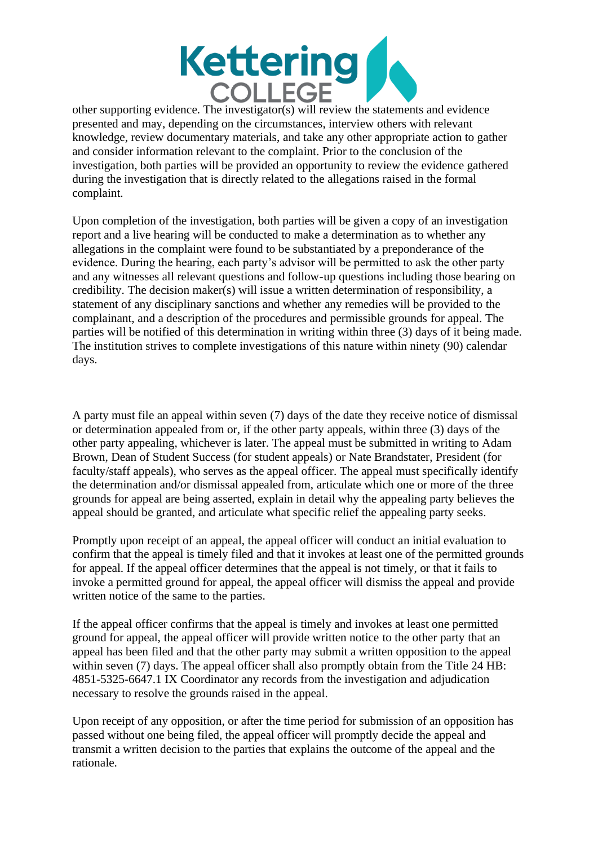

other supporting evidence. The investigator(s) will review the statements and evidence presented and may, depending on the circumstances, interview others with relevant knowledge, review documentary materials, and take any other appropriate action to gather and consider information relevant to the complaint. Prior to the conclusion of the investigation, both parties will be provided an opportunity to review the evidence gathered during the investigation that is directly related to the allegations raised in the formal complaint.

Upon completion of the investigation, both parties will be given a copy of an investigation report and a live hearing will be conducted to make a determination as to whether any allegations in the complaint were found to be substantiated by a preponderance of the evidence. During the hearing, each party's advisor will be permitted to ask the other party and any witnesses all relevant questions and follow-up questions including those bearing on credibility. The decision maker(s) will issue a written determination of responsibility, a statement of any disciplinary sanctions and whether any remedies will be provided to the complainant, and a description of the procedures and permissible grounds for appeal. The parties will be notified of this determination in writing within three (3) days of it being made. The institution strives to complete investigations of this nature within ninety (90) calendar days.

A party must file an appeal within seven (7) days of the date they receive notice of dismissal or determination appealed from or, if the other party appeals, within three (3) days of the other party appealing, whichever is later. The appeal must be submitted in writing to Adam Brown, Dean of Student Success (for student appeals) or Nate Brandstater, President (for faculty/staff appeals), who serves as the appeal officer. The appeal must specifically identify the determination and/or dismissal appealed from, articulate which one or more of the three grounds for appeal are being asserted, explain in detail why the appealing party believes the appeal should be granted, and articulate what specific relief the appealing party seeks.

Promptly upon receipt of an appeal, the appeal officer will conduct an initial evaluation to confirm that the appeal is timely filed and that it invokes at least one of the permitted grounds for appeal. If the appeal officer determines that the appeal is not timely, or that it fails to invoke a permitted ground for appeal, the appeal officer will dismiss the appeal and provide written notice of the same to the parties.

If the appeal officer confirms that the appeal is timely and invokes at least one permitted ground for appeal, the appeal officer will provide written notice to the other party that an appeal has been filed and that the other party may submit a written opposition to the appeal within seven (7) days. The appeal officer shall also promptly obtain from the Title 24 HB: 4851-5325-6647.1 IX Coordinator any records from the investigation and adjudication necessary to resolve the grounds raised in the appeal.

Upon receipt of any opposition, or after the time period for submission of an opposition has passed without one being filed, the appeal officer will promptly decide the appeal and transmit a written decision to the parties that explains the outcome of the appeal and the rationale.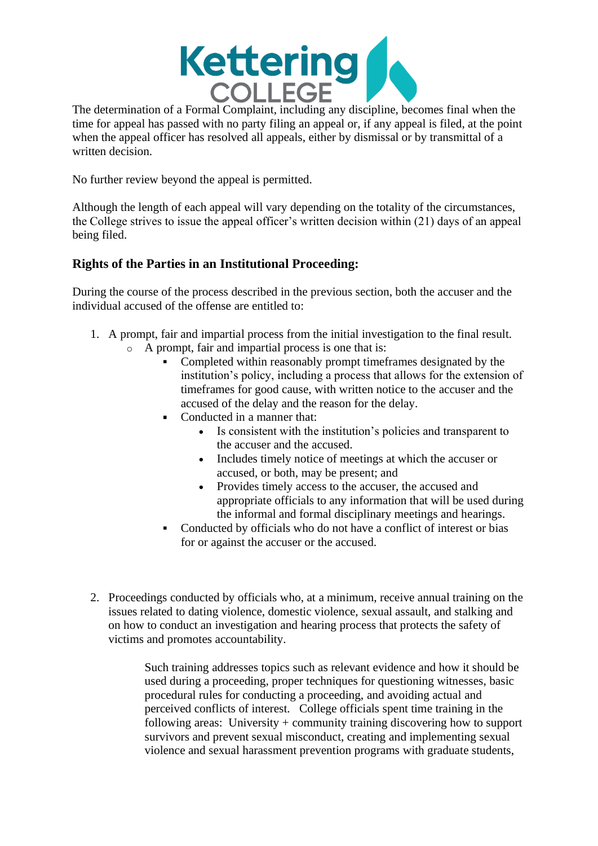

The determination of a Formal Complaint, including any discipline, becomes final when the time for appeal has passed with no party filing an appeal or, if any appeal is filed, at the point when the appeal officer has resolved all appeals, either by dismissal or by transmittal of a written decision.

No further review beyond the appeal is permitted.

Although the length of each appeal will vary depending on the totality of the circumstances, the College strives to issue the appeal officer's written decision within (21) days of an appeal being filed.

## **Rights of the Parties in an Institutional Proceeding:**

During the course of the process described in the previous section, both the accuser and the individual accused of the offense are entitled to:

- 1. A prompt, fair and impartial process from the initial investigation to the final result.
	- A prompt, fair and impartial process is one that is:
		- Completed within reasonably prompt timeframes designated by the institution's policy, including a process that allows for the extension of timeframes for good cause, with written notice to the accuser and the accused of the delay and the reason for the delay.
		- Conducted in a manner that:  $\blacksquare$ 
			- Is consistent with the institution's policies and transparent to the accuser and the accused.
			- Includes timely notice of meetings at which the accuser or accused, or both, may be present; and
			- Provides timely access to the accuser, the accused and appropriate officials to any information that will be used during the informal and formal disciplinary meetings and hearings.
		- Conducted by officials who do not have a conflict of interest or bias for or against the accuser or the accused.
- 2. Proceedings conducted by officials who, at a minimum, receive annual training on the issues related to dating violence, domestic violence, sexual assault, and stalking and on how to conduct an investigation and hearing process that protects the safety of victims and promotes accountability.

Such training addresses topics such as relevant evidence and how it should be used during a proceeding, proper techniques for questioning witnesses, basic procedural rules for conducting a proceeding, and avoiding actual and perceived conflicts of interest. College officials spent time training in the following areas: University + community training discovering how to support survivors and prevent sexual misconduct, creating and implementing sexual violence and sexual harassment prevention programs with graduate students,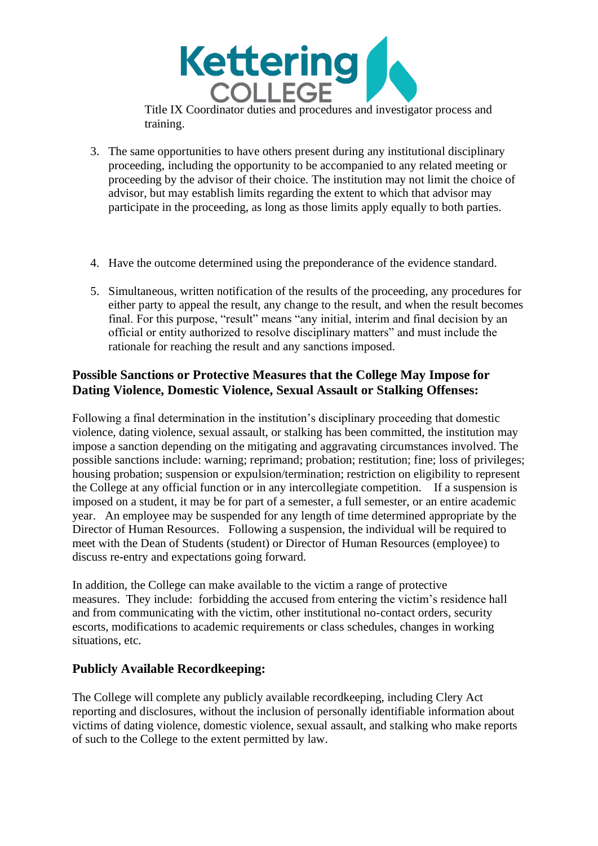

Title IX Coordinator duties and procedures and investigator process and training.

- 3. The same opportunities to have others present during any institutional disciplinary proceeding, including the opportunity to be accompanied to any related meeting or proceeding by the advisor of their choice. The institution may not limit the choice of advisor, but may establish limits regarding the extent to which that advisor may participate in the proceeding, as long as those limits apply equally to both parties.
- 4. Have the outcome determined using the preponderance of the evidence standard.
- 5. Simultaneous, written notification of the results of the proceeding, any procedures for either party to appeal the result, any change to the result, and when the result becomes final. For this purpose, "result" means "any initial, interim and final decision by an official or entity authorized to resolve disciplinary matters" and must include the rationale for reaching the result and any sanctions imposed.

## **Possible Sanctions or Protective Measures that the College May Impose for Dating Violence, Domestic Violence, Sexual Assault or Stalking Offenses:**

Following a final determination in the institution's disciplinary proceeding that domestic violence, dating violence, sexual assault, or stalking has been committed, the institution may impose a sanction depending on the mitigating and aggravating circumstances involved. The possible sanctions include: warning; reprimand; probation; restitution; fine; loss of privileges; housing probation; suspension or expulsion/termination; restriction on eligibility to represent the College at any official function or in any intercollegiate competition. If a suspension is imposed on a student, it may be for part of a semester, a full semester, or an entire academic year. An employee may be suspended for any length of time determined appropriate by the Director of Human Resources. Following a suspension, the individual will be required to meet with the Dean of Students (student) or Director of Human Resources (employee) to discuss re-entry and expectations going forward.

In addition, the College can make available to the victim a range of protective measures. They include: forbidding the accused from entering the victim's residence hall and from communicating with the victim, other institutional no-contact orders, security escorts, modifications to academic requirements or class schedules, changes in working situations, etc.

## **Publicly Available Recordkeeping:**

The College will complete any publicly available recordkeeping, including Clery Act reporting and disclosures, without the inclusion of personally identifiable information about victims of dating violence, domestic violence, sexual assault, and stalking who make reports of such to the College to the extent permitted by law.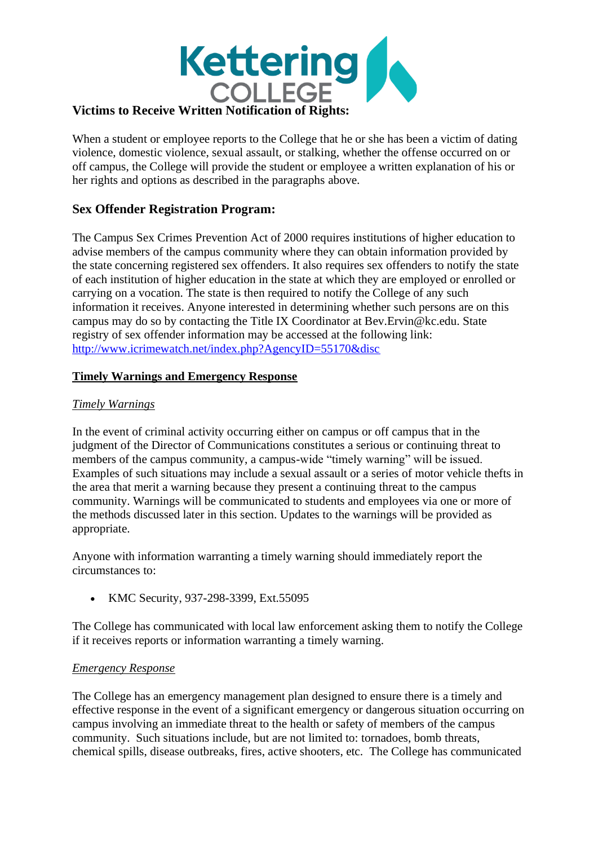

#### When a student or employee reports to the College that he or she has been a victim of dating violence, domestic violence, sexual assault, or stalking, whether the offense occurred on or off campus, the College will provide the student or employee a written explanation of his or her rights and options as described in the paragraphs above.

## **Sex Offender Registration Program:**

The Campus Sex Crimes Prevention Act of 2000 requires institutions of higher education to advise members of the campus community where they can obtain information provided by the state concerning registered sex offenders. It also requires sex offenders to notify the state of each institution of higher education in the state at which they are employed or enrolled or carrying on a vocation. The state is then required to notify the College of any such information it receives. Anyone interested in determining whether such persons are on this campus may do so by contacting the Title IX Coordinator at Bev.Ervin@kc.edu. State registry of sex offender information may be accessed at the following link: <http://www.icrimewatch.net/index.php?AgencyID=55170&disc>

#### **Timely Warnings and Emergency Response**

#### *Timely Warnings*

In the event of criminal activity occurring either on campus or off campus that in the judgment of the Director of Communications constitutes a serious or continuing threat to members of the campus community, a campus-wide "timely warning" will be issued. Examples of such situations may include a sexual assault or a series of motor vehicle thefts in the area that merit a warning because they present a continuing threat to the campus community. Warnings will be communicated to students and employees via one or more of the methods discussed later in this section. Updates to the warnings will be provided as appropriate.

Anyone with information warranting a timely warning should immediately report the circumstances to:

• KMC Security, 937-298-3399, Ext.55095

The College has communicated with local law enforcement asking them to notify the College if it receives reports or information warranting a timely warning.

#### *Emergency Response*

The College has an emergency management plan designed to ensure there is a timely and effective response in the event of a significant emergency or dangerous situation occurring on campus involving an immediate threat to the health or safety of members of the campus community. Such situations include, but are not limited to: tornadoes, bomb threats, chemical spills, disease outbreaks, fires, active shooters, etc. The College has communicated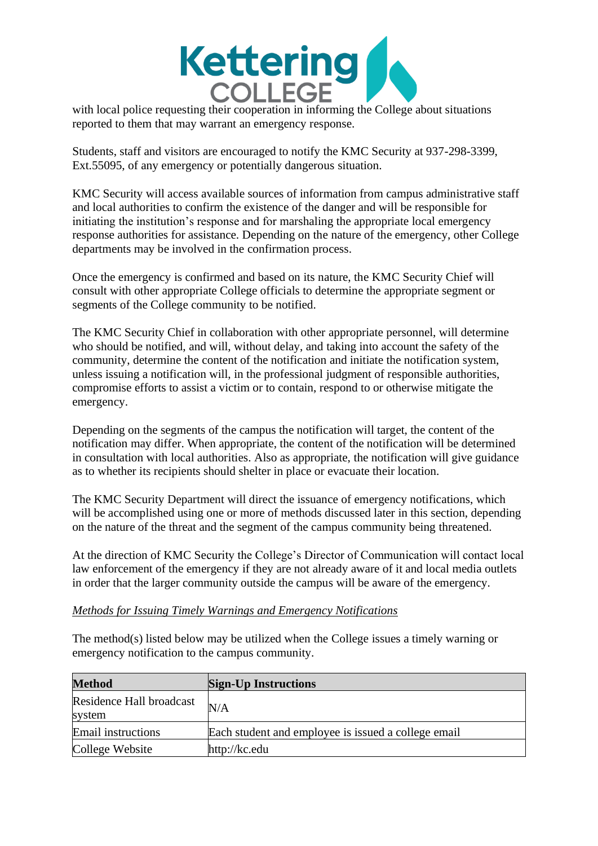

with local police requesting their cooperation in informing the College about situations reported to them that may warrant an emergency response.

Students, staff and visitors are encouraged to notify the KMC Security at 937-298-3399, Ext.55095, of any emergency or potentially dangerous situation.

KMC Security will access available sources of information from campus administrative staff and local authorities to confirm the existence of the danger and will be responsible for initiating the institution's response and for marshaling the appropriate local emergency response authorities for assistance. Depending on the nature of the emergency, other College departments may be involved in the confirmation process.

Once the emergency is confirmed and based on its nature, the KMC Security Chief will consult with other appropriate College officials to determine the appropriate segment or segments of the College community to be notified.

The KMC Security Chief in collaboration with other appropriate personnel, will determine who should be notified, and will, without delay, and taking into account the safety of the community, determine the content of the notification and initiate the notification system, unless issuing a notification will, in the professional judgment of responsible authorities, compromise efforts to assist a victim or to contain, respond to or otherwise mitigate the emergency.

Depending on the segments of the campus the notification will target, the content of the notification may differ. When appropriate, the content of the notification will be determined in consultation with local authorities. Also as appropriate, the notification will give guidance as to whether its recipients should shelter in place or evacuate their location.

The KMC Security Department will direct the issuance of emergency notifications, which will be accomplished using one or more of methods discussed later in this section, depending on the nature of the threat and the segment of the campus community being threatened.

At the direction of KMC Security the College's Director of Communication will contact local law enforcement of the emergency if they are not already aware of it and local media outlets in order that the larger community outside the campus will be aware of the emergency.

#### *Methods for Issuing Timely Warnings and Emergency Notifications*

The method(s) listed below may be utilized when the College issues a timely warning or emergency notification to the campus community.

| <b>Method</b>                      | <b>Sign-Up Instructions</b>                         |
|------------------------------------|-----------------------------------------------------|
| Residence Hall broadcast<br>system | N/A                                                 |
| Email instructions                 | Each student and employee is issued a college email |
| College Website                    | http://kc.edu                                       |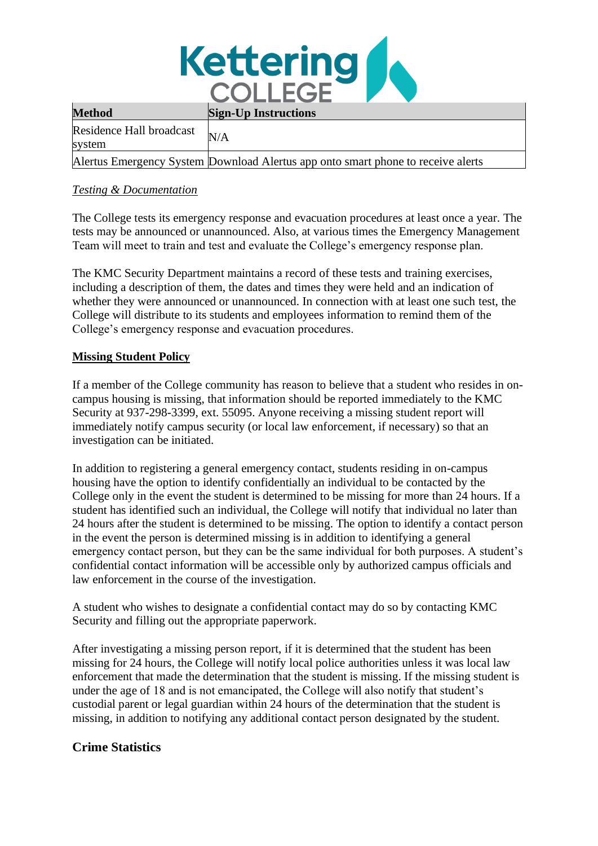

| <b>Method</b>                      | <b>Sign-Up Instructions</b>                                                      |
|------------------------------------|----------------------------------------------------------------------------------|
| Residence Hall broadcast<br>system | N/A                                                                              |
|                                    | Alertus Emergency System Download Alertus app onto smart phone to receive alerts |

#### *Testing & Documentation*

The College tests its emergency response and evacuation procedures at least once a year. The tests may be announced or unannounced. Also, at various times the Emergency Management Team will meet to train and test and evaluate the College's emergency response plan.

The KMC Security Department maintains a record of these tests and training exercises, including a description of them, the dates and times they were held and an indication of whether they were announced or unannounced. In connection with at least one such test, the College will distribute to its students and employees information to remind them of the College's emergency response and evacuation procedures.

### **Missing Student Policy**

If a member of the College community has reason to believe that a student who resides in oncampus housing is missing, that information should be reported immediately to the KMC Security at 937-298-3399, ext. 55095. Anyone receiving a missing student report will immediately notify campus security (or local law enforcement, if necessary) so that an investigation can be initiated.

In addition to registering a general emergency contact, students residing in on-campus housing have the option to identify confidentially an individual to be contacted by the College only in the event the student is determined to be missing for more than 24 hours. If a student has identified such an individual, the College will notify that individual no later than 24 hours after the student is determined to be missing. The option to identify a contact person in the event the person is determined missing is in addition to identifying a general emergency contact person, but they can be the same individual for both purposes. A student's confidential contact information will be accessible only by authorized campus officials and law enforcement in the course of the investigation.

A student who wishes to designate a confidential contact may do so by contacting KMC Security and filling out the appropriate paperwork.

After investigating a missing person report, if it is determined that the student has been missing for 24 hours, the College will notify local police authorities unless it was local law enforcement that made the determination that the student is missing. If the missing student is under the age of 18 and is not emancipated, the College will also notify that student's custodial parent or legal guardian within 24 hours of the determination that the student is missing, in addition to notifying any additional contact person designated by the student.

## **Crime Statistics**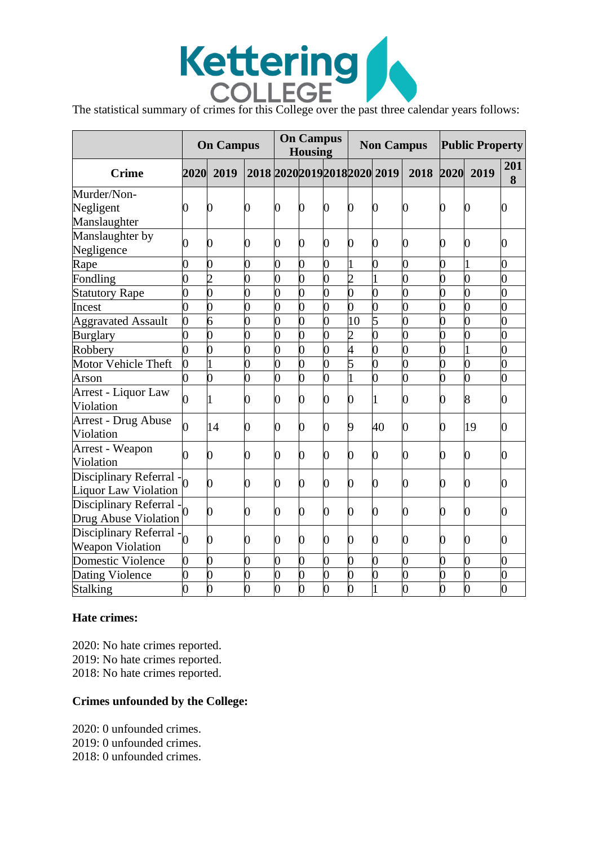

|                                                                       | <b>On Campus</b> |                | <b>On Campus</b><br><b>Housing</b> |                |                | <b>Non Campus</b> |                |                               | <b>Public Property</b> |      |                |          |
|-----------------------------------------------------------------------|------------------|----------------|------------------------------------|----------------|----------------|-------------------|----------------|-------------------------------|------------------------|------|----------------|----------|
| <b>Crime</b>                                                          | 2020             | 2019           |                                    |                |                |                   |                | 2018 2020 2019 2018 2020 2019 | 2018                   | 2020 | 2019           | 201<br>8 |
| Murder/Non-                                                           |                  |                |                                    |                |                |                   |                |                               |                        |      |                |          |
| Negligent                                                             | 0                | 0              | 0                                  | 0              | $\overline{0}$ | $\overline{0}$    | $\overline{0}$ | 0                             | O                      | 0    | 0              | 0        |
| Manslaughter                                                          |                  |                |                                    |                |                |                   |                |                               |                        |      |                |          |
| Manslaughter by<br>Negligence                                         | 0                | 0              | 0                                  | 0              | $\overline{0}$ | $\overline{0}$    | 0              | $\overline{0}$                | 0                      | 0    | $\overline{0}$ | 0        |
| Rape                                                                  | 0                | 0              | 0                                  | 0              | $\overline{0}$ | 0                 |                | $\overline{0}$                | 0                      | 0    |                | 0        |
| Fondling                                                              | 0                | $\overline{2}$ | $\overline{0}$                     | $\overline{0}$ | 0              | $\pmb{0}$         | $\overline{2}$ |                               | $\overline{0}$         | 0    | $\overline{0}$ | 0        |
| <b>Statutory Rape</b>                                                 | $\overline{0}$   | $\overline{0}$ | $\overline{0}$                     | $\overline{0}$ | 0              | $\overline{0}$    | $\overline{0}$ | $\overline{0}$                | $\overline{0}$         | 0    | $\overline{0}$ | 0        |
| Incest                                                                | 0                | $\overline{0}$ | $\overline{0}$                     | 0              | O)             | 0                 | $\overline{0}$ | $\overline{0}$                | 0                      | 0    | $\overline{0}$ | 0        |
| <b>Aggravated Assault</b>                                             | $\overline{0}$   | $\overline{6}$ | $\overline{0}$                     | $\overline{0}$ | 0              | $\overline{0}$    | 10             | 5                             | $\overline{0}$         | 0    | $\overline{0}$ | 0        |
| <b>Burglary</b>                                                       | $\overline{0}$   | $\overline{0}$ | $\overline{0}$                     | $\overline{0}$ | $\overline{0}$ | $\overline{0}$    | $\overline{c}$ | $\overline{0}$                | $\overline{0}$         | 0    | $\overline{0}$ | 0        |
| Robbery                                                               | 0                | 0              | $\overline{0}$                     | 0              | 0              | 0                 | 4              | $\overline{0}$                | 0                      | 0    |                | 0        |
| Motor Vehicle Theft                                                   | 0                |                | 0                                  | 0              | $\overline{0}$ | $\overline{0}$    | 5              | $\overline{0}$                | $\overline{0}$         | 0    | $\overline{0}$ | 0        |
| Arson                                                                 | 0                | $\overline{0}$ | $\overline{0}$                     | 0              | 0              | $\overline{0}$    | 1              | $\overline{0}$                | $\overline{0}$         | 0    | $\overline{0}$ | 0        |
| Arrest - Liquor Law<br>Violation                                      | 0                |                | O                                  | 0              | $\theta$       | 0                 | $\overline{0}$ | 1                             | 0                      | 0    | 8              | 0        |
| <b>Arrest - Drug Abuse</b><br>Violation                               | $\overline{0}$   | 14             | 0                                  | 0              | $\overline{0}$ | 0                 | 9              | 40                            | 0                      | 0    | 19             | 0        |
| Arrest - Weapon<br>Violation                                          |                  | 0              | 0                                  | 0              | $\overline{0}$ | $\overline{0}$    | 0              | 0                             | 0                      | 0    | $\overline{0}$ | 0        |
| Disciplinary Referral $-$ <sub>0</sub><br><b>Liquor Law Violation</b> |                  | 0              | 0                                  | 0              | $\overline{0}$ | 0                 | 0              | $\overline{0}$                | 0                      | 0    | $\overline{0}$ | 0        |
| Disciplinary Referral - $\big _0$<br>Drug Abuse Violation             |                  | 0              | 0                                  | 0              | $\overline{0}$ | $\overline{0}$    | 0              | $\overline{0}$                | 0                      | 0    | 0              | 0        |
| Disciplinary Referral -<br><b>Weapon Violation</b>                    |                  | 0              | 0                                  | 0              | $\overline{0}$ | $\overline{0}$    | 0              | 0                             | 0                      | 0    | $\overline{0}$ | 0        |
| Domestic Violence                                                     | $\overline{0}$   | $\overline{0}$ | $\overline{0}$                     | $\overline{0}$ | 0              | 0                 | 0              | $\overline{0}$                | $\overline{0}$         | 0    | $\overline{0}$ | 0        |
| <b>Dating Violence</b>                                                | 0                | 0              | 0                                  | 0              | $\overline{0}$ | $\overline{0}$    | $\overline{0}$ | $\overline{0}$                | $\overline{0}$         | 0    | $\overline{0}$ | 0        |
| Stalking                                                              | $\overline{0}$   | 0              | O)                                 | $\overline{0}$ | $\overline{0}$ | $\overline{0}$    | $\overline{0}$ | 1                             | $\overline{0}$         | 0    | $\overline{0}$ | 0        |

#### **Hate crimes:**

2020: No hate crimes reported. 2019: No hate crimes reported. 2018: No hate crimes reported.

#### **Crimes unfounded by the College:**

2020: 0 unfounded crimes. 2019: 0 unfounded crimes. 2018: 0 unfounded crimes.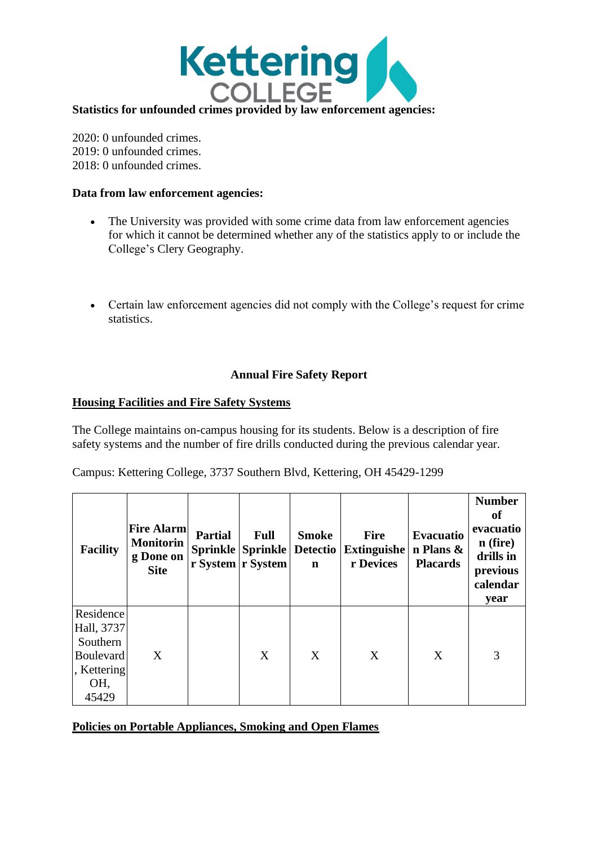

2020: 0 unfounded crimes. 2019: 0 unfounded crimes. 2018: 0 unfounded crimes.

#### **Data from law enforcement agencies:**

- The University was provided with some crime data from law enforcement agencies for which it cannot be determined whether any of the statistics apply to or include the College's Clery Geography.
- Certain law enforcement agencies did not comply with the College's request for crime statistics.

#### **Annual Fire Safety Report**

#### **Housing Facilities and Fire Safety Systems**

The College maintains on-campus housing for its students. Below is a description of fire safety systems and the number of fire drills conducted during the previous calendar year.

Campus: Kettering College, 3737 Southern Blvd, Kettering, OH 45429-1299

| <b>Facility</b>                                                                        | <b>Fire Alarm</b><br><b>Monitorin</b><br>g Done on<br><b>Site</b> | <b>Partial</b> | <b>Full</b><br><b>Sprinkle Sprinkle</b><br>r System r System | <b>Smoke</b><br><b>Detectio</b><br>$\mathbf n$ | <b>Fire</b><br><b>Extinguishe</b><br>r Devices | <b>Evacuatio</b><br>n Plans $\&$<br><b>Placards</b> | <b>Number</b><br>of<br>evacuatio<br>$n$ (fire)<br>drills in<br>previous<br>calendar<br>year |
|----------------------------------------------------------------------------------------|-------------------------------------------------------------------|----------------|--------------------------------------------------------------|------------------------------------------------|------------------------------------------------|-----------------------------------------------------|---------------------------------------------------------------------------------------------|
| Residence<br>Hall, 3737<br>Southern<br><b>Boulevard</b><br>, Kettering<br>OH,<br>45429 | X                                                                 |                | X                                                            | X                                              | X                                              | X                                                   | 3                                                                                           |

**Policies on Portable Appliances, Smoking and Open Flames**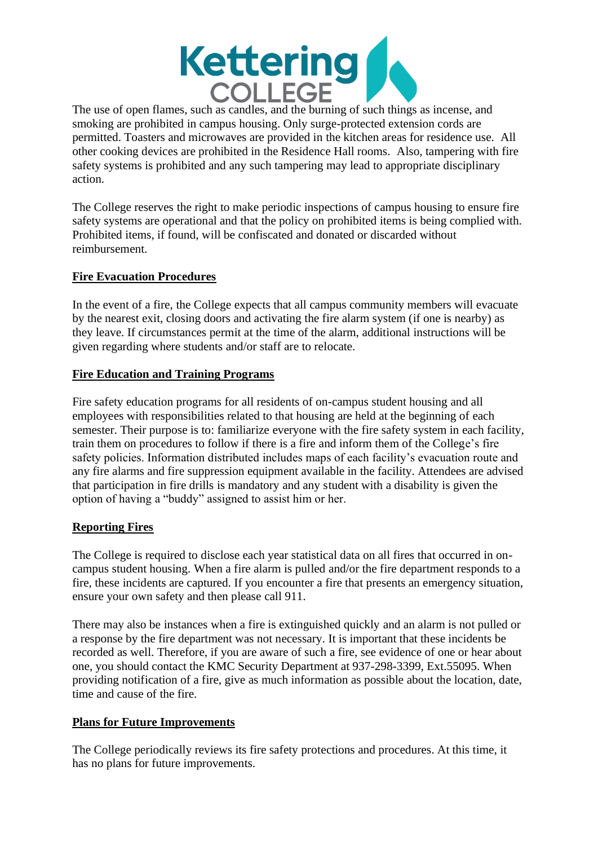

The use of open flames, such as candles, and the burning of such things as incense, and smoking are prohibited in campus housing. Only surge-protected extension cords are permitted. Toasters and microwaves are provided in the kitchen areas for residence use. All other cooking devices are prohibited in the Residence Hall rooms. Also, tampering with fire safety systems is prohibited and any such tampering may lead to appropriate disciplinary action.

The College reserves the right to make periodic inspections of campus housing to ensure fire safety systems are operational and that the policy on prohibited items is being complied with. Prohibited items, if found, will be confiscated and donated or discarded without reimbursement.

### **Fire Evacuation Procedures**

In the event of a fire, the College expects that all campus community members will evacuate by the nearest exit, closing doors and activating the fire alarm system (if one is nearby) as they leave. If circumstances permit at the time of the alarm, additional instructions will be given regarding where students and/or staff are to relocate.

#### **Fire Education and Training Programs**

Fire safety education programs for all residents of on-campus student housing and all employees with responsibilities related to that housing are held at the beginning of each semester. Their purpose is to: familiarize everyone with the fire safety system in each facility, train them on procedures to follow if there is a fire and inform them of the College's fire safety policies. Information distributed includes maps of each facility's evacuation route and any fire alarms and fire suppression equipment available in the facility. Attendees are advised that participation in fire drills is mandatory and any student with a disability is given the option of having a "buddy" assigned to assist him or her.

## **Reporting Fires**

The College is required to disclose each year statistical data on all fires that occurred in oncampus student housing. When a fire alarm is pulled and/or the fire department responds to a fire, these incidents are captured. If you encounter a fire that presents an emergency situation, ensure your own safety and then please call 911.

There may also be instances when a fire is extinguished quickly and an alarm is not pulled or a response by the fire department was not necessary. It is important that these incidents be recorded as well. Therefore, if you are aware of such a fire, see evidence of one or hear about one, you should contact the KMC Security Department at 937-298-3399, Ext.55095. When providing notification of a fire, give as much information as possible about the location, date, time and cause of the fire.

#### **Plans for Future Improvements**

The College periodically reviews its fire safety protections and procedures. At this time, it has no plans for future improvements.